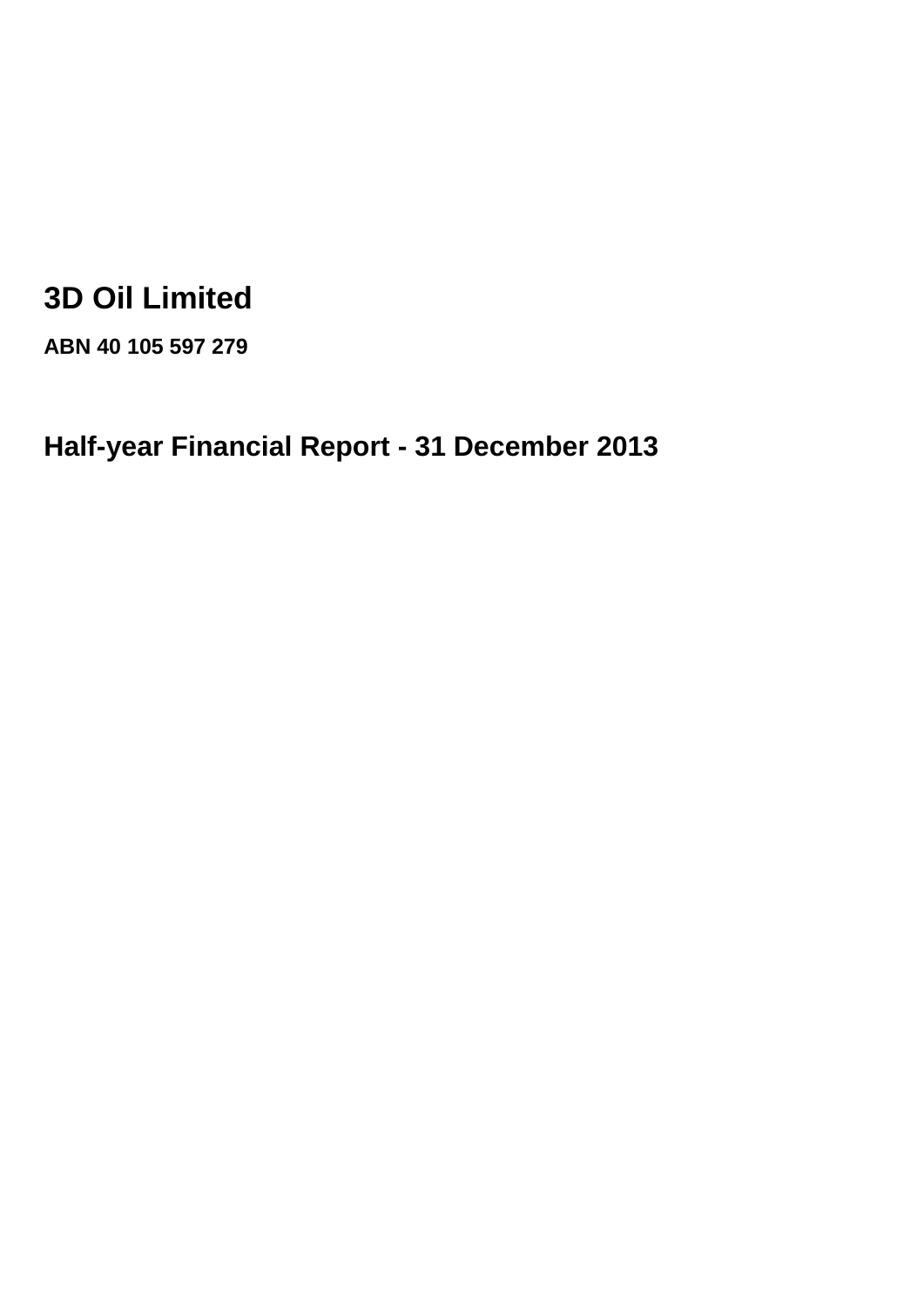# **3D Oil Limited**

**ABN 40 105 597 279**

**Half-year Financial Report - 31 December 2013**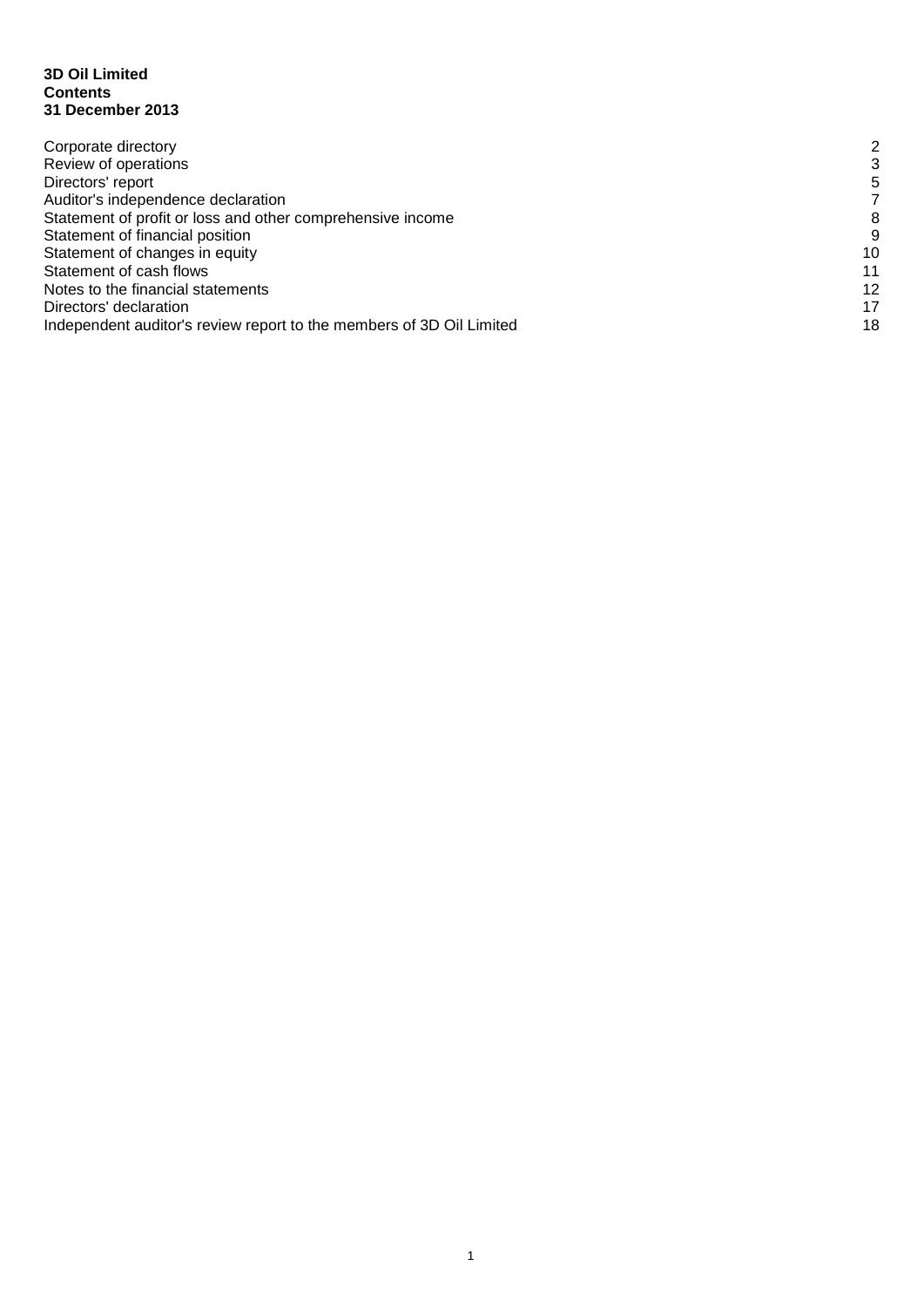#### **3D Oil Limited Contents 31 December 2013**

| Corporate directory                                                  | 2  |
|----------------------------------------------------------------------|----|
| Review of operations                                                 | 3  |
| Directors' report                                                    | 5  |
| Auditor's independence declaration                                   |    |
| Statement of profit or loss and other comprehensive income           | 8  |
| Statement of financial position                                      | 9  |
| Statement of changes in equity                                       | 10 |
| Statement of cash flows                                              | 11 |
| Notes to the financial statements                                    | 12 |
| Directors' declaration                                               | 17 |
| Independent auditor's review report to the members of 3D Oil Limited | 18 |
|                                                                      |    |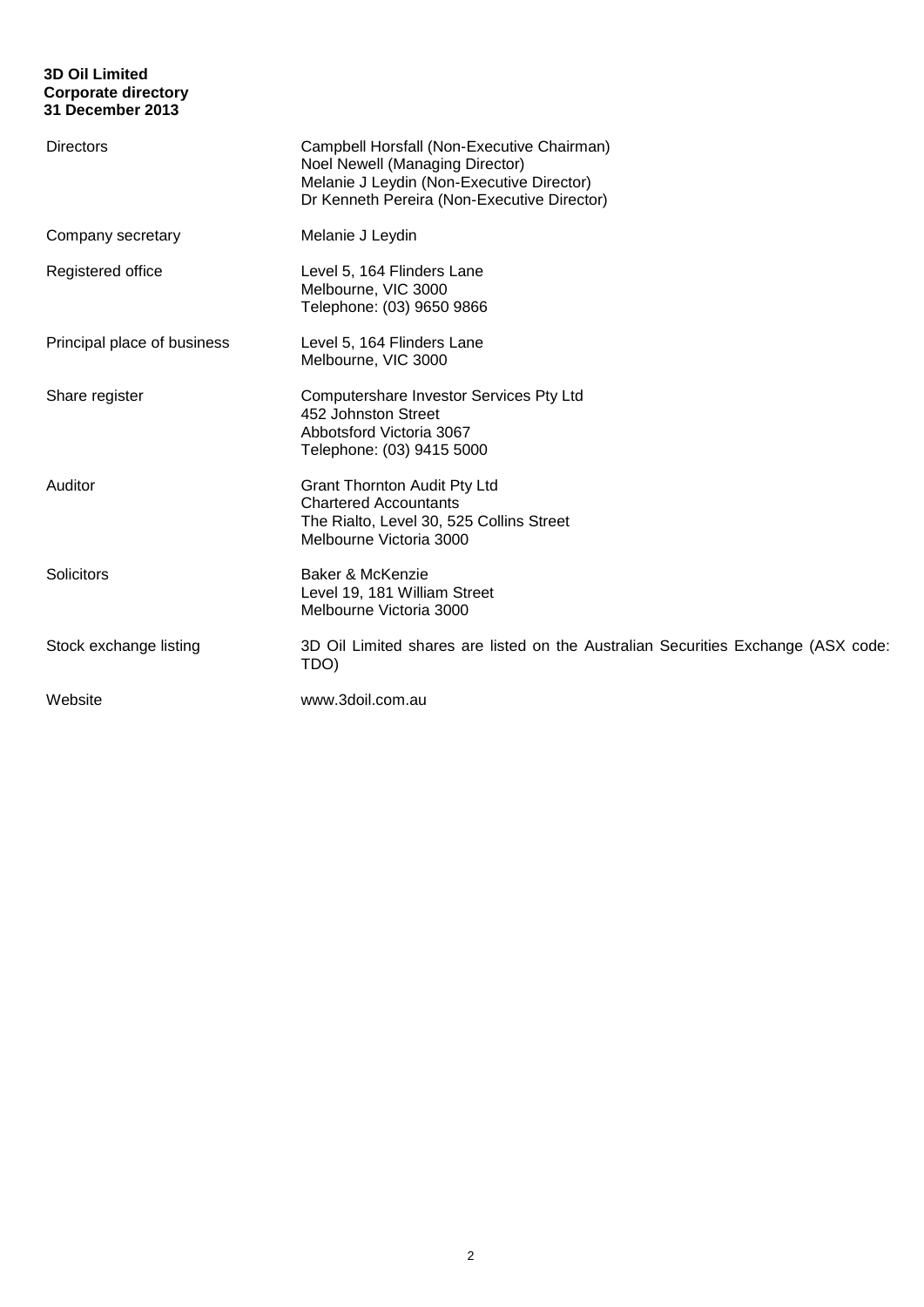# **3D Oil Limited Corporate directory 31 December 2013**

| <b>Directors</b>            | Campbell Horsfall (Non-Executive Chairman)<br>Noel Newell (Managing Director)<br>Melanie J Leydin (Non-Executive Director)<br>Dr Kenneth Pereira (Non-Executive Director) |
|-----------------------------|---------------------------------------------------------------------------------------------------------------------------------------------------------------------------|
| Company secretary           | Melanie J Leydin                                                                                                                                                          |
| Registered office           | Level 5, 164 Flinders Lane<br>Melbourne, VIC 3000<br>Telephone: (03) 9650 9866                                                                                            |
| Principal place of business | Level 5, 164 Flinders Lane<br>Melbourne, VIC 3000                                                                                                                         |
| Share register              | Computershare Investor Services Pty Ltd<br>452 Johnston Street<br>Abbotsford Victoria 3067<br>Telephone: (03) 9415 5000                                                   |
| Auditor                     | <b>Grant Thornton Audit Pty Ltd</b><br><b>Chartered Accountants</b><br>The Rialto, Level 30, 525 Collins Street<br>Melbourne Victoria 3000                                |
| Solicitors                  | Baker & McKenzie<br>Level 19, 181 William Street<br>Melbourne Victoria 3000                                                                                               |
| Stock exchange listing      | 3D Oil Limited shares are listed on the Australian Securities Exchange (ASX code:<br>TDO)                                                                                 |
| Website                     | www.3doil.com.au                                                                                                                                                          |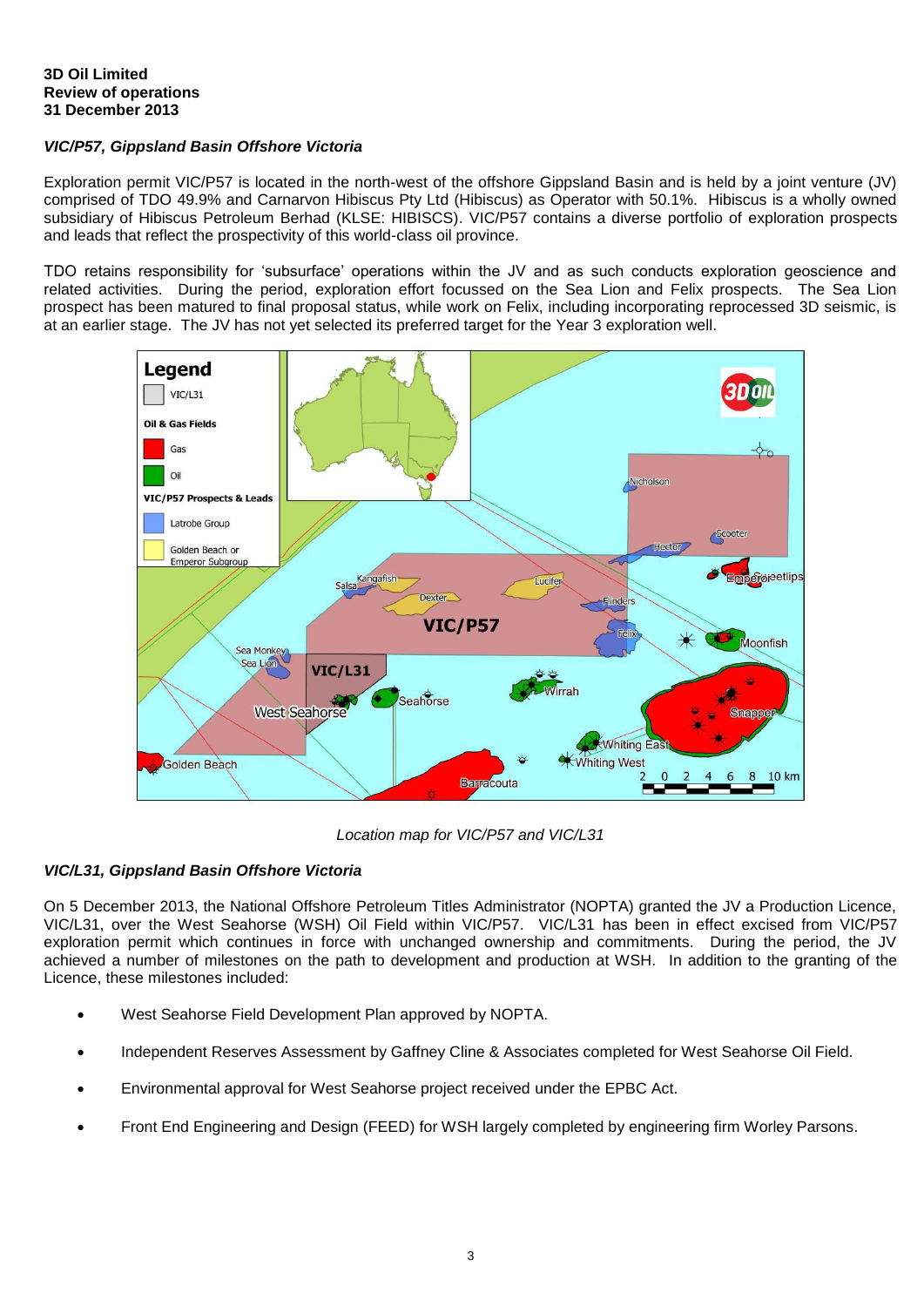# *VIC/P57, Gippsland Basin Offshore Victoria*

Exploration permit VIC/P57 is located in the north-west of the offshore Gippsland Basin and is held by a joint venture (JV) comprised of TDO 49.9% and Carnarvon Hibiscus Pty Ltd (Hibiscus) as Operator with 50.1%. Hibiscus is a wholly owned subsidiary of Hibiscus Petroleum Berhad (KLSE: HIBISCS). VIC/P57 contains a diverse portfolio of exploration prospects and leads that reflect the prospectivity of this world-class oil province.

TDO retains responsibility for 'subsurface' operations within the JV and as such conducts exploration geoscience and related activities. During the period, exploration effort focussed on the Sea Lion and Felix prospects. The Sea Lion prospect has been matured to final proposal status, while work on Felix, including incorporating reprocessed 3D seismic, is at an earlier stage. The JV has not yet selected its preferred target for the Year 3 exploration well.



*Location map for VIC/P57 and VIC/L31*

# *VIC/L31, Gippsland Basin Offshore Victoria*

On 5 December 2013, the National Offshore Petroleum Titles Administrator (NOPTA) granted the JV a Production Licence, VIC/L31, over the West Seahorse (WSH) Oil Field within VIC/P57. VIC/L31 has been in effect excised from VIC/P57 exploration permit which continues in force with unchanged ownership and commitments. During the period, the JV achieved a number of milestones on the path to development and production at WSH. In addition to the granting of the Licence, these milestones included:

- West Seahorse Field Development Plan approved by NOPTA.
- Independent Reserves Assessment by Gaffney Cline & Associates completed for West Seahorse Oil Field.
- Environmental approval for West Seahorse project received under the EPBC Act.
- Front End Engineering and Design (FEED) for WSH largely completed by engineering firm Worley Parsons.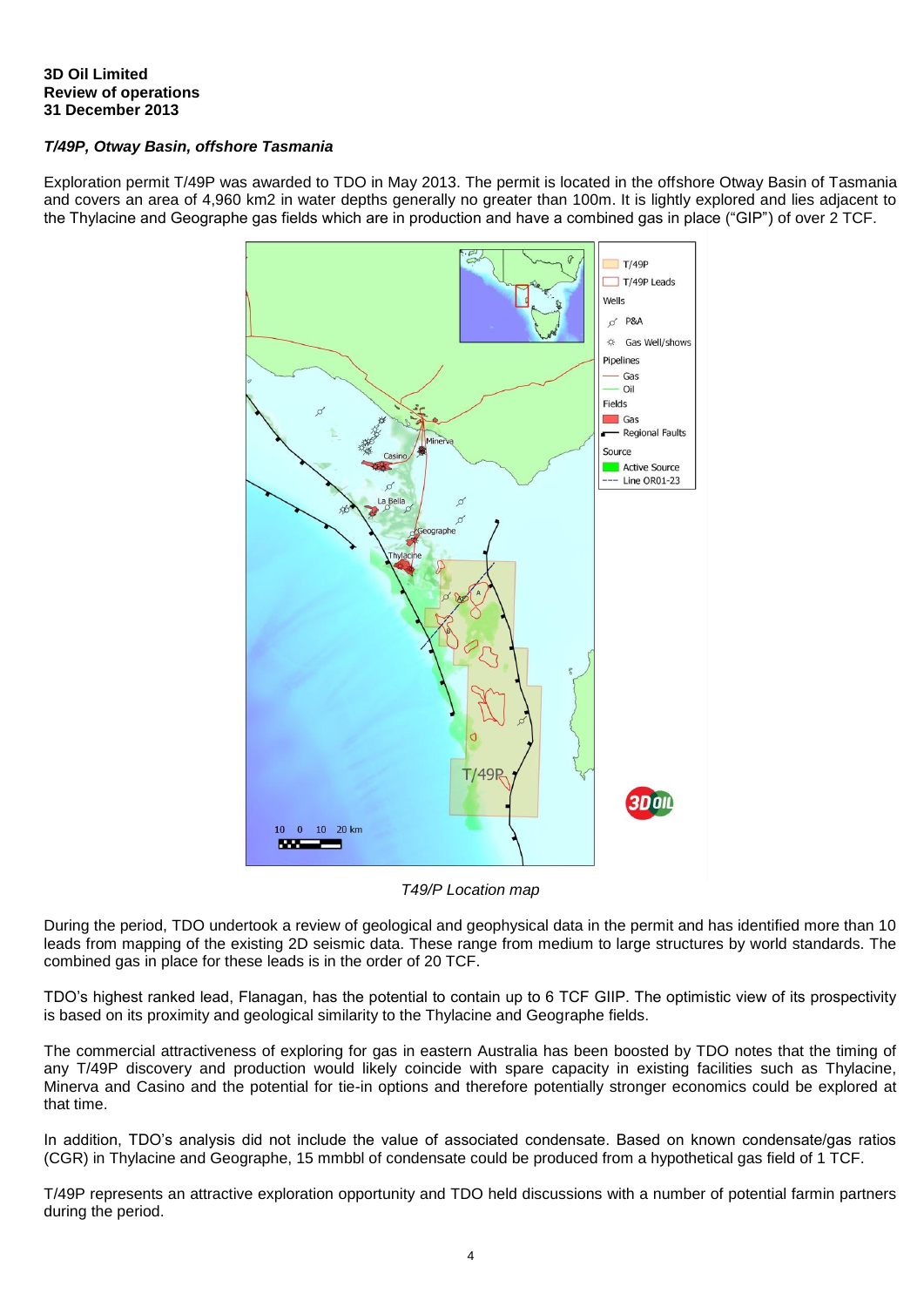# **3D Oil Limited Review of operations 31 December 2013**

# *T/49P, Otway Basin, offshore Tasmania*

Exploration permit T/49P was awarded to TDO in May 2013. The permit is located in the offshore Otway Basin of Tasmania and covers an area of 4,960 km2 in water depths generally no greater than 100m. It is lightly explored and lies adjacent to the Thylacine and Geographe gas fields which are in production and have a combined gas in place ("GIP") of over 2 TCF.



*T49/P Location map*

During the period, TDO undertook a review of geological and geophysical data in the permit and has identified more than 10 leads from mapping of the existing 2D seismic data. These range from medium to large structures by world standards. The combined gas in place for these leads is in the order of 20 TCF.

TDO's highest ranked lead, Flanagan, has the potential to contain up to 6 TCF GIIP. The optimistic view of its prospectivity is based on its proximity and geological similarity to the Thylacine and Geographe fields.

The commercial attractiveness of exploring for gas in eastern Australia has been boosted by TDO notes that the timing of any T/49P discovery and production would likely coincide with spare capacity in existing facilities such as Thylacine, Minerva and Casino and the potential for tie-in options and therefore potentially stronger economics could be explored at that time.

In addition, TDO's analysis did not include the value of associated condensate. Based on known condensate/gas ratios (CGR) in Thylacine and Geographe, 15 mmbbl of condensate could be produced from a hypothetical gas field of 1 TCF.

T/49P represents an attractive exploration opportunity and TDO held discussions with a number of potential farmin partners during the period.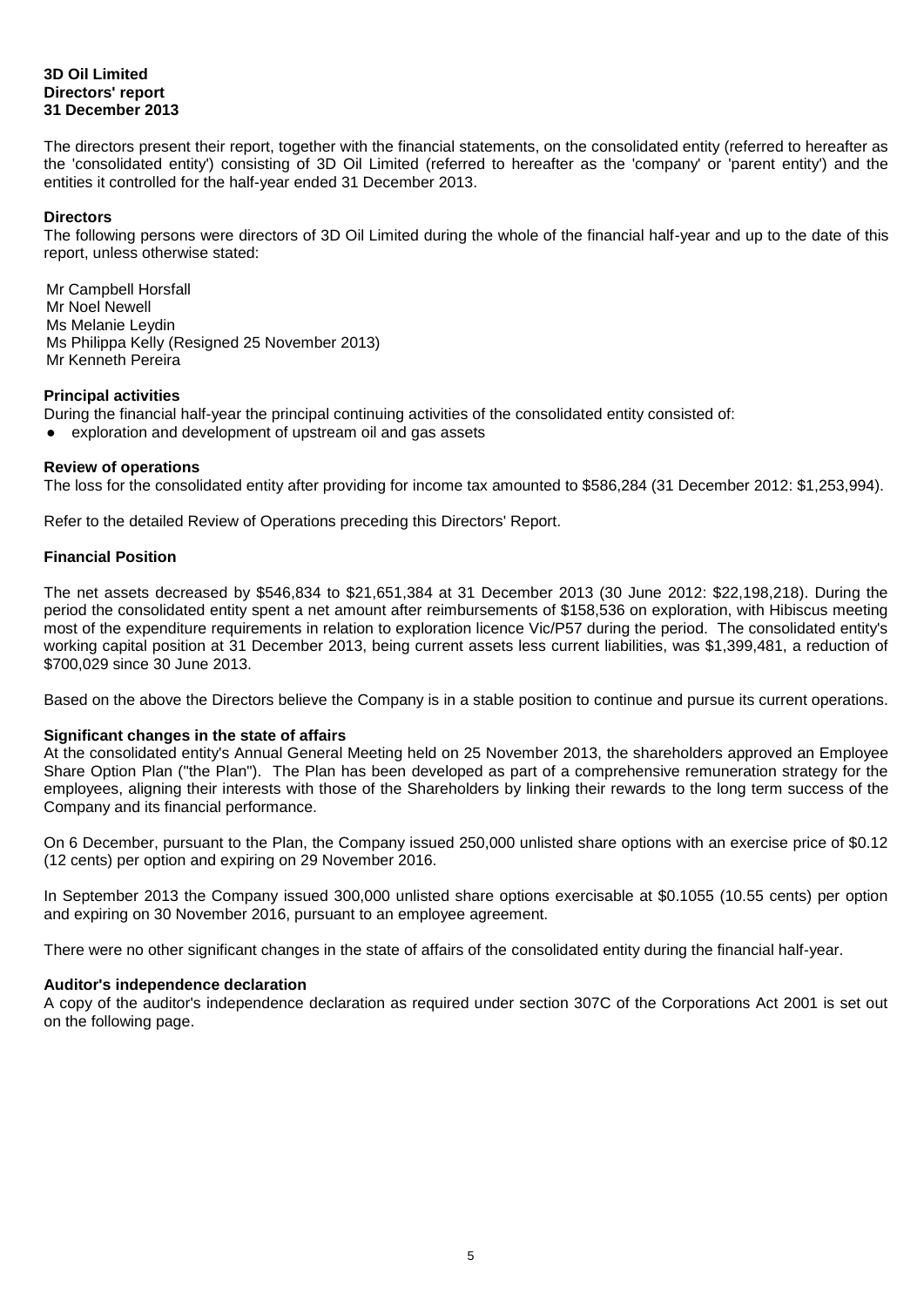# **3D Oil Limited Directors' report 31 December 2013**

The directors present their report, together with the financial statements, on the consolidated entity (referred to hereafter as the 'consolidated entity') consisting of 3D Oil Limited (referred to hereafter as the 'company' or 'parent entity') and the entities it controlled for the half-year ended 31 December 2013.

#### **Directors**

The following persons were directors of 3D Oil Limited during the whole of the financial half-year and up to the date of this report, unless otherwise stated:

Mr Campbell Horsfall Mr Noel Newell Ms Melanie Leydin Ms Philippa Kelly (Resigned 25 November 2013) Mr Kenneth Pereira

## **Principal activities**

During the financial half-year the principal continuing activities of the consolidated entity consisted of:

exploration and development of upstream oil and gas assets

#### **Review of operations**

The loss for the consolidated entity after providing for income tax amounted to \$586,284 (31 December 2012: \$1,253,994).

Refer to the detailed Review of Operations preceding this Directors' Report.

## **Financial Position**

The net assets decreased by \$546,834 to \$21,651,384 at 31 December 2013 (30 June 2012: \$22,198,218). During the period the consolidated entity spent a net amount after reimbursements of \$158,536 on exploration, with Hibiscus meeting most of the expenditure requirements in relation to exploration licence Vic/P57 during the period. The consolidated entity's working capital position at 31 December 2013, being current assets less current liabilities, was \$1,399,481, a reduction of \$700,029 since 30 June 2013.

Based on the above the Directors believe the Company is in a stable position to continue and pursue its current operations.

#### **Significant changes in the state of affairs**

At the consolidated entity's Annual General Meeting held on 25 November 2013, the shareholders approved an Employee Share Option Plan ("the Plan"). The Plan has been developed as part of a comprehensive remuneration strategy for the employees, aligning their interests with those of the Shareholders by linking their rewards to the long term success of the Company and its financial performance.

On 6 December, pursuant to the Plan, the Company issued 250,000 unlisted share options with an exercise price of \$0.12 (12 cents) per option and expiring on 29 November 2016.

In September 2013 the Company issued 300,000 unlisted share options exercisable at \$0.1055 (10.55 cents) per option and expiring on 30 November 2016, pursuant to an employee agreement.

There were no other significant changes in the state of affairs of the consolidated entity during the financial half-year.

#### **Auditor's independence declaration**

A copy of the auditor's independence declaration as required under section 307C of the Corporations Act 2001 is set out on the following page.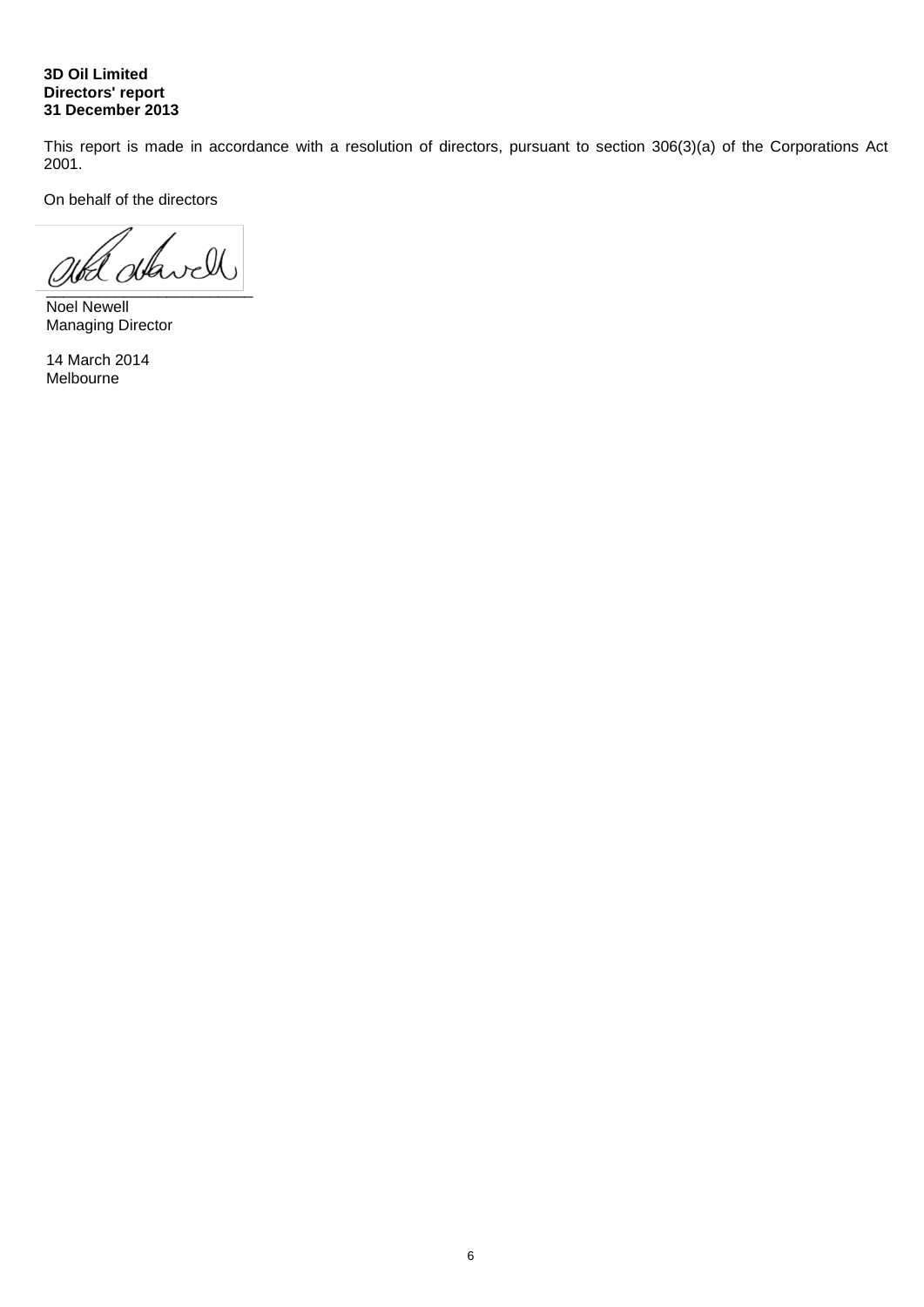# **3D Oil Limited Directors' report 31 December 2013**

This report is made in accordance with a resolution of directors, pursuant to section 306(3)(a) of the Corporations Act 2001.

On behalf of the directors

ald alavell

Noel Newell Managing Director

14 March 2014 Melbourne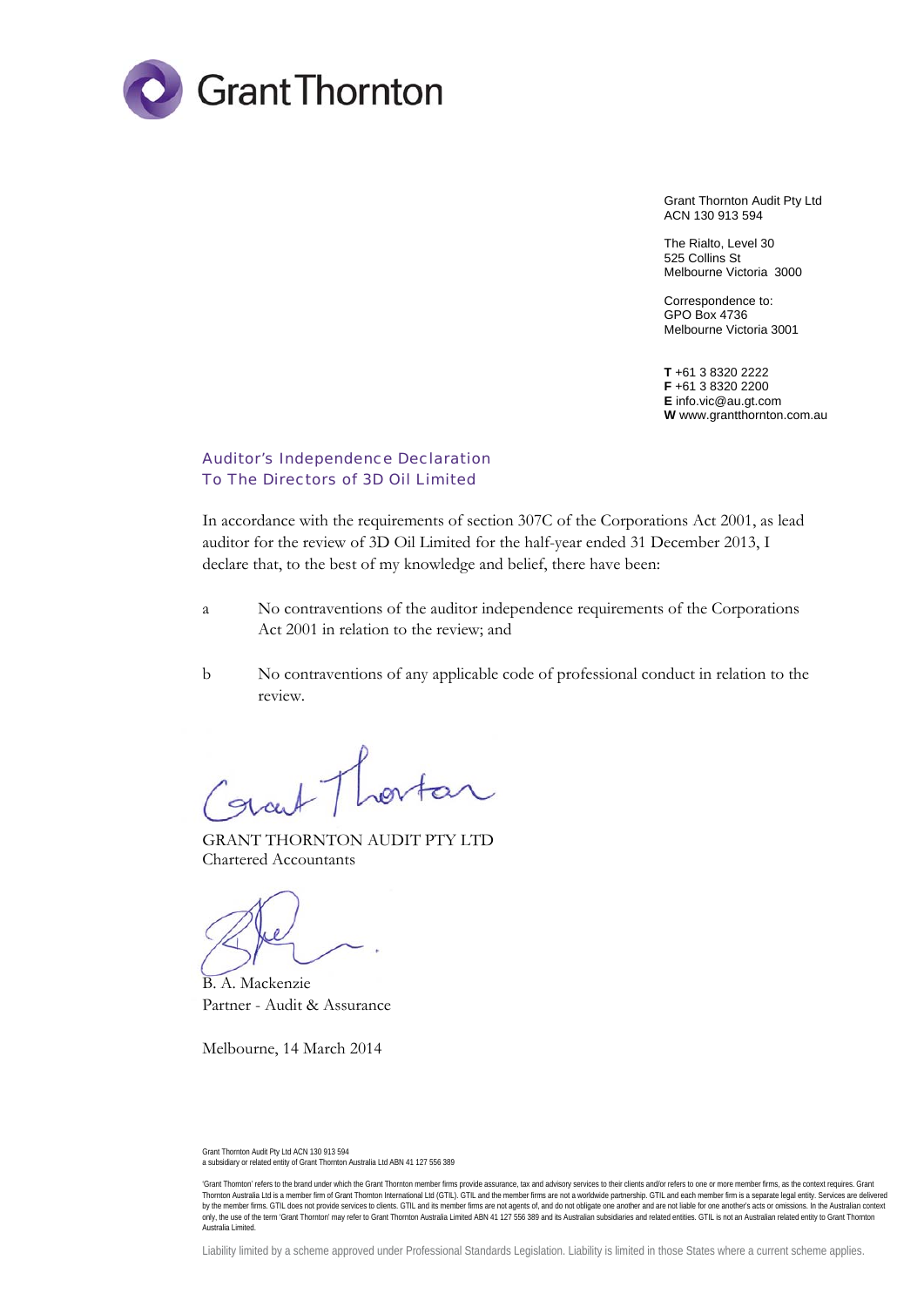

Grant Thornton Audit Pty Ltd ACN 130 913 594

The Rialto, Level 30 525 Collins St Melbourne Victoria 3000

Correspondence to: GPO Box 4736 Melbourne Victoria 3001

**T** +61 3 8320 2222 **F** +61 3 8320 2200 **E** info.vic@au.gt.com **W** www.grantthornton.com.au

# Auditor's Independence Declaration To The Directors of 3D Oil Limited

In accordance with the requirements of section 307C of the Corporations Act 2001, as lead auditor for the review of 3D Oil Limited for the half-year ended 31 December 2013, I declare that, to the best of my knowledge and belief, there have been:

- a No contraventions of the auditor independence requirements of the Corporations Act 2001 in relation to the review; and
- b No contraventions of any applicable code of professional conduct in relation to the review.

GRANT THORNTON AUDIT PTY LTD Chartered Accountants

B. A. Mackenzie Partner - Audit & Assurance

Melbourne, 14 March 2014

Grant Thornton Audit Pty Ltd ACN 130 913 594 a subsidiary or related entity of Grant Thornton Australia Ltd ABN 41 127 556 389

<sup>&#</sup>x27;Grant Thornton' refers to the brand under which the Grant Thornton member firms provide assurance, tax and advisory services to their clients and/or refers to one or more member firms, as the context requires. Grant Thornton Australia Ltd is a member firm of Grant Thornton International Ltd (GTIL). GTIL and the member firms are not a worldwide partnership. GTIL and each member firm is a separate legal entity. Services are delivered by the member firms. GTIL does not provide services to clients. GTIL and its member firms are not agents of, and do not obligate one another and are not liable for one another's acts or omissions. In the Australian context Australia Limited.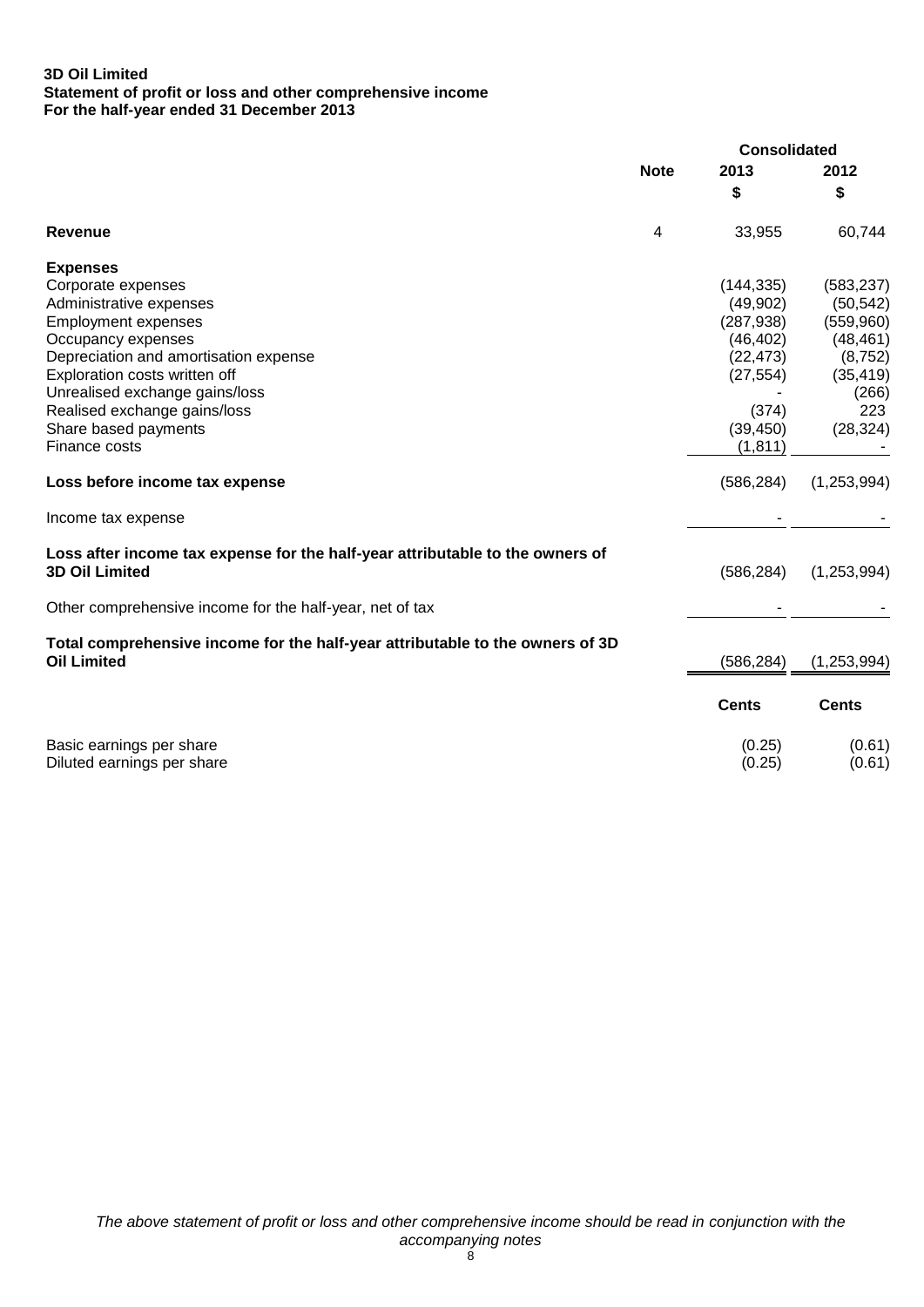#### **3D Oil Limited Statement of profit or loss and other comprehensive income For the half-year ended 31 December 2013**

| <b>Note</b><br>2013<br>2012<br>\$<br>\$<br>4<br>33,955<br>60,744<br>Revenue<br><b>Expenses</b><br>Corporate expenses<br>(144, 335)<br>(583, 237)<br>(49,902)<br>Administrative expenses<br>(50, 542)<br><b>Employment expenses</b><br>(287, 938)<br>(559,960)<br>Occupancy expenses<br>(46, 402)<br>(48, 461)<br>Depreciation and amortisation expense<br>(22, 473)<br>Exploration costs written off<br>(27, 554)<br>(35, 419)<br>Unrealised exchange gains/loss<br>(266)<br>Realised exchange gains/loss<br>223<br>(374)<br>Share based payments<br>(39, 450)<br>(28, 324)<br>(1, 811)<br>Finance costs<br>(586, 284)<br>(1,253,994)<br>Loss before income tax expense<br>Income tax expense<br>Loss after income tax expense for the half-year attributable to the owners of<br><b>3D Oil Limited</b><br>(586, 284)<br>(1,253,994)<br>Other comprehensive income for the half-year, net of tax<br>Total comprehensive income for the half-year attributable to the owners of 3D<br><b>Oil Limited</b><br>(586, 284)<br>(1, 253, 994)<br><b>Cents</b><br><b>Cents</b><br>Basic earnings per share<br>(0.25)<br>(0.25)<br>Diluted earnings per share<br>(0.61) |  | <b>Consolidated</b> |  |
|----------------------------------------------------------------------------------------------------------------------------------------------------------------------------------------------------------------------------------------------------------------------------------------------------------------------------------------------------------------------------------------------------------------------------------------------------------------------------------------------------------------------------------------------------------------------------------------------------------------------------------------------------------------------------------------------------------------------------------------------------------------------------------------------------------------------------------------------------------------------------------------------------------------------------------------------------------------------------------------------------------------------------------------------------------------------------------------------------------------------------------------------------------------|--|---------------------|--|
|                                                                                                                                                                                                                                                                                                                                                                                                                                                                                                                                                                                                                                                                                                                                                                                                                                                                                                                                                                                                                                                                                                                                                                |  |                     |  |
|                                                                                                                                                                                                                                                                                                                                                                                                                                                                                                                                                                                                                                                                                                                                                                                                                                                                                                                                                                                                                                                                                                                                                                |  |                     |  |
|                                                                                                                                                                                                                                                                                                                                                                                                                                                                                                                                                                                                                                                                                                                                                                                                                                                                                                                                                                                                                                                                                                                                                                |  |                     |  |
|                                                                                                                                                                                                                                                                                                                                                                                                                                                                                                                                                                                                                                                                                                                                                                                                                                                                                                                                                                                                                                                                                                                                                                |  |                     |  |
|                                                                                                                                                                                                                                                                                                                                                                                                                                                                                                                                                                                                                                                                                                                                                                                                                                                                                                                                                                                                                                                                                                                                                                |  |                     |  |
|                                                                                                                                                                                                                                                                                                                                                                                                                                                                                                                                                                                                                                                                                                                                                                                                                                                                                                                                                                                                                                                                                                                                                                |  |                     |  |
|                                                                                                                                                                                                                                                                                                                                                                                                                                                                                                                                                                                                                                                                                                                                                                                                                                                                                                                                                                                                                                                                                                                                                                |  |                     |  |
| (8, 752)<br>(0.61)                                                                                                                                                                                                                                                                                                                                                                                                                                                                                                                                                                                                                                                                                                                                                                                                                                                                                                                                                                                                                                                                                                                                             |  |                     |  |
|                                                                                                                                                                                                                                                                                                                                                                                                                                                                                                                                                                                                                                                                                                                                                                                                                                                                                                                                                                                                                                                                                                                                                                |  |                     |  |
|                                                                                                                                                                                                                                                                                                                                                                                                                                                                                                                                                                                                                                                                                                                                                                                                                                                                                                                                                                                                                                                                                                                                                                |  |                     |  |
|                                                                                                                                                                                                                                                                                                                                                                                                                                                                                                                                                                                                                                                                                                                                                                                                                                                                                                                                                                                                                                                                                                                                                                |  |                     |  |
|                                                                                                                                                                                                                                                                                                                                                                                                                                                                                                                                                                                                                                                                                                                                                                                                                                                                                                                                                                                                                                                                                                                                                                |  |                     |  |
|                                                                                                                                                                                                                                                                                                                                                                                                                                                                                                                                                                                                                                                                                                                                                                                                                                                                                                                                                                                                                                                                                                                                                                |  |                     |  |
|                                                                                                                                                                                                                                                                                                                                                                                                                                                                                                                                                                                                                                                                                                                                                                                                                                                                                                                                                                                                                                                                                                                                                                |  |                     |  |
|                                                                                                                                                                                                                                                                                                                                                                                                                                                                                                                                                                                                                                                                                                                                                                                                                                                                                                                                                                                                                                                                                                                                                                |  |                     |  |
|                                                                                                                                                                                                                                                                                                                                                                                                                                                                                                                                                                                                                                                                                                                                                                                                                                                                                                                                                                                                                                                                                                                                                                |  |                     |  |
|                                                                                                                                                                                                                                                                                                                                                                                                                                                                                                                                                                                                                                                                                                                                                                                                                                                                                                                                                                                                                                                                                                                                                                |  |                     |  |
|                                                                                                                                                                                                                                                                                                                                                                                                                                                                                                                                                                                                                                                                                                                                                                                                                                                                                                                                                                                                                                                                                                                                                                |  |                     |  |
|                                                                                                                                                                                                                                                                                                                                                                                                                                                                                                                                                                                                                                                                                                                                                                                                                                                                                                                                                                                                                                                                                                                                                                |  |                     |  |
|                                                                                                                                                                                                                                                                                                                                                                                                                                                                                                                                                                                                                                                                                                                                                                                                                                                                                                                                                                                                                                                                                                                                                                |  |                     |  |
|                                                                                                                                                                                                                                                                                                                                                                                                                                                                                                                                                                                                                                                                                                                                                                                                                                                                                                                                                                                                                                                                                                                                                                |  |                     |  |
|                                                                                                                                                                                                                                                                                                                                                                                                                                                                                                                                                                                                                                                                                                                                                                                                                                                                                                                                                                                                                                                                                                                                                                |  |                     |  |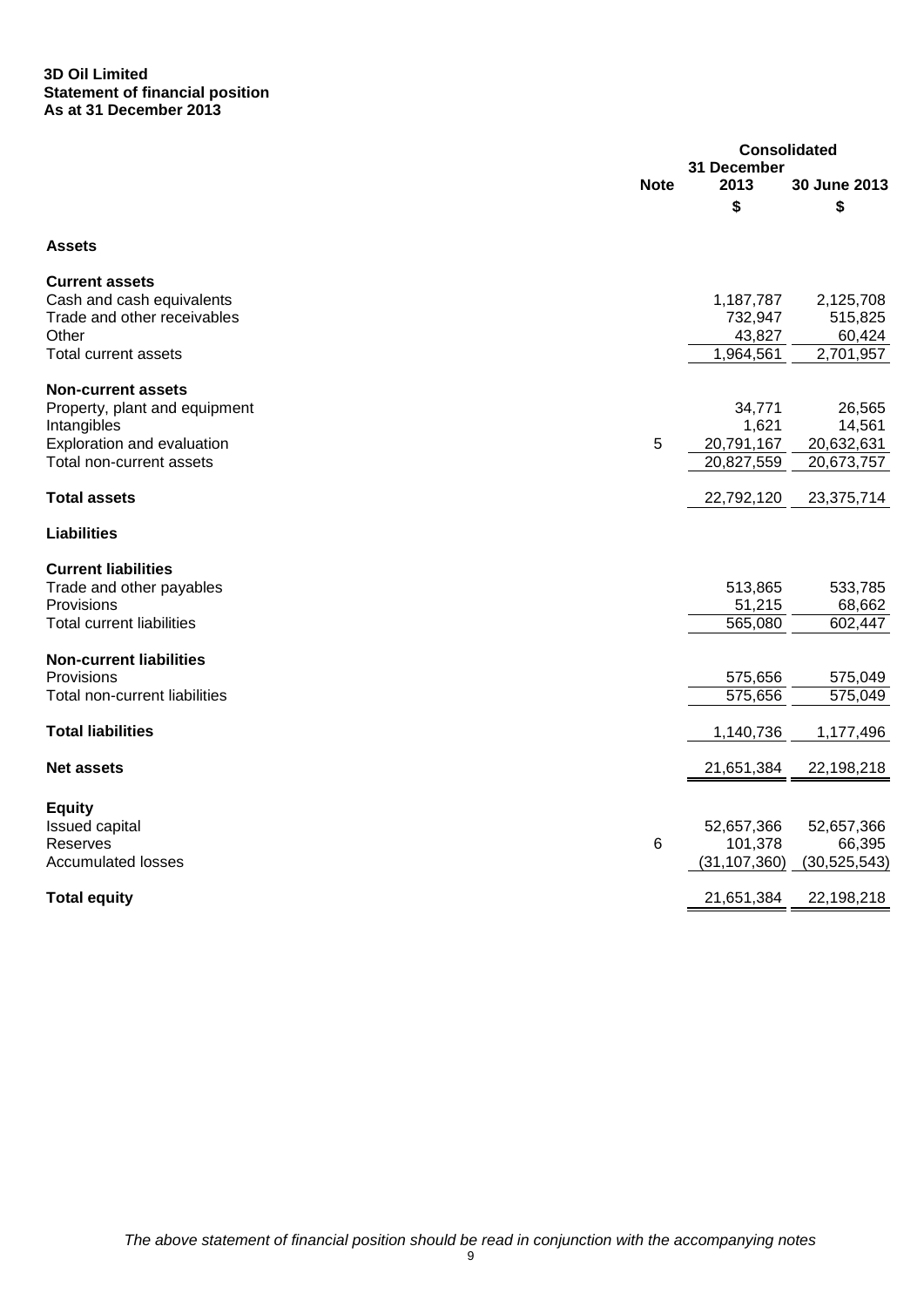#### **3D Oil Limited Statement of financial position As at 31 December 2013**

|                                  |             | <b>Consolidated</b>       |                    |  |
|----------------------------------|-------------|---------------------------|--------------------|--|
|                                  | <b>Note</b> | 31 December<br>2013<br>\$ | 30 June 2013<br>\$ |  |
| <b>Assets</b>                    |             |                           |                    |  |
| <b>Current assets</b>            |             |                           |                    |  |
| Cash and cash equivalents        |             | 1,187,787                 | 2,125,708          |  |
| Trade and other receivables      |             | 732,947                   | 515,825            |  |
| Other                            |             | 43,827                    | 60,424             |  |
| <b>Total current assets</b>      |             | 1,964,561                 | 2,701,957          |  |
| <b>Non-current assets</b>        |             |                           |                    |  |
| Property, plant and equipment    |             | 34,771                    | 26,565             |  |
| Intangibles                      |             | 1,621                     | 14,561             |  |
| Exploration and evaluation       | 5           | 20,791,167                | 20,632,631         |  |
| Total non-current assets         |             | 20,827,559                | 20,673,757         |  |
| <b>Total assets</b>              |             | 22,792,120                | 23,375,714         |  |
| <b>Liabilities</b>               |             |                           |                    |  |
| <b>Current liabilities</b>       |             |                           |                    |  |
| Trade and other payables         |             | 513,865                   | 533,785            |  |
| Provisions                       |             | 51,215                    | 68,662             |  |
| <b>Total current liabilities</b> |             | 565,080                   | 602,447            |  |
| <b>Non-current liabilities</b>   |             |                           |                    |  |
| Provisions                       |             | 575,656                   | 575,049            |  |
| Total non-current liabilities    |             | 575,656                   | 575,049            |  |
|                                  |             |                           |                    |  |
| <b>Total liabilities</b>         |             | 1,140,736                 | 1,177,496          |  |
| <b>Net assets</b>                |             | 21,651,384                | 22,198,218         |  |
| <b>Equity</b>                    |             |                           |                    |  |
| <b>Issued capital</b>            |             | 52,657,366                | 52,657,366         |  |
| Reserves                         | $\,6$       | 101,378                   | 66,395             |  |
| <b>Accumulated losses</b>        |             | (31, 107, 360)            | (30, 525, 543)     |  |
|                                  |             |                           |                    |  |
| <b>Total equity</b>              |             | 21,651,384                | 22,198,218         |  |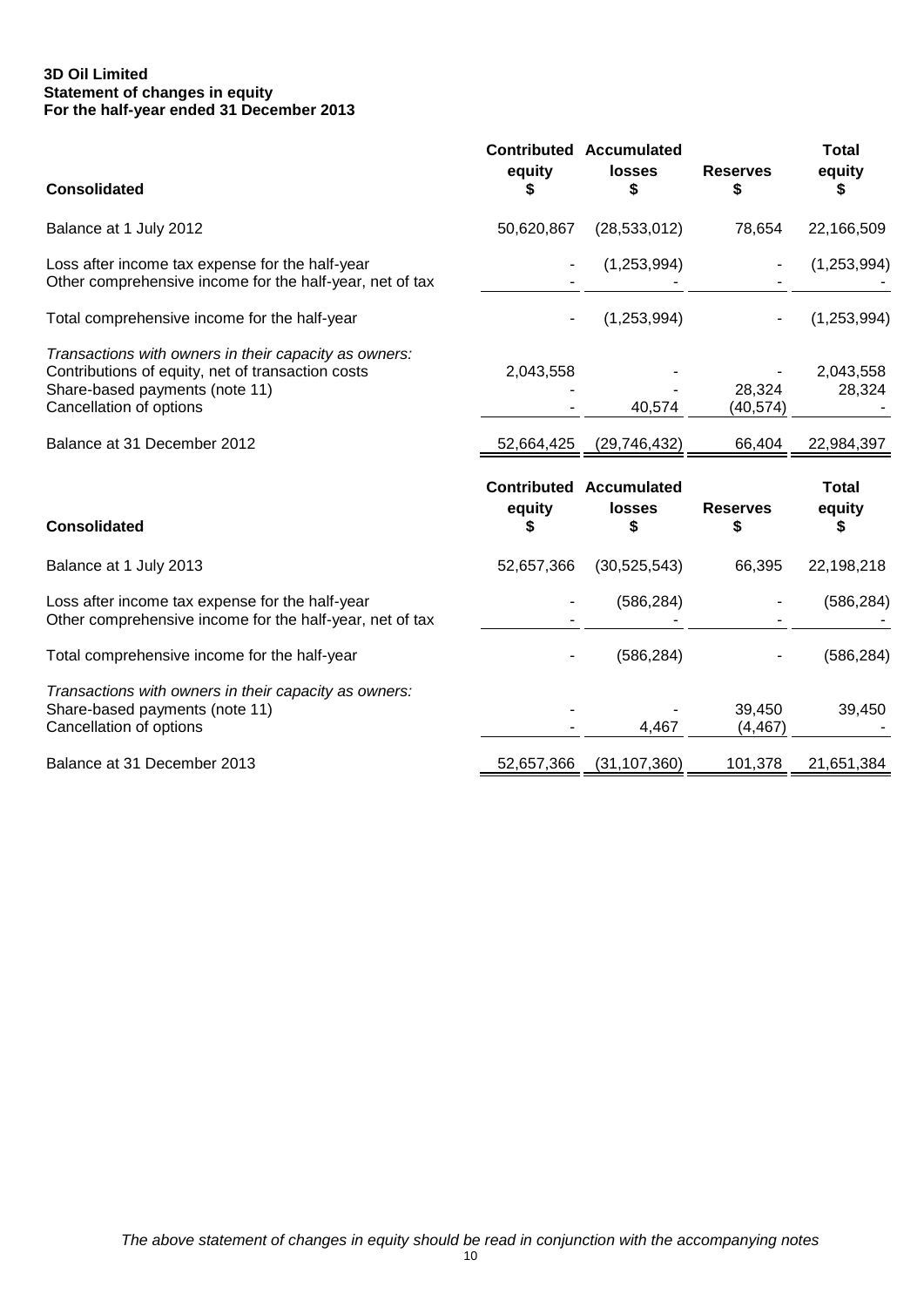## **3D Oil Limited Statement of changes in equity For the half-year ended 31 December 2013**

| <b>Consolidated</b>                                                                                                                                                     | equity      | <b>Contributed Accumulated</b><br><b>losses</b><br>\$ | <b>Reserves</b><br>\$ | <b>Total</b><br>equity<br>J. |
|-------------------------------------------------------------------------------------------------------------------------------------------------------------------------|-------------|-------------------------------------------------------|-----------------------|------------------------------|
| Balance at 1 July 2012                                                                                                                                                  | 50,620,867  | (28, 533, 012)                                        | 78,654                | 22,166,509                   |
| Loss after income tax expense for the half-year<br>Other comprehensive income for the half-year, net of tax                                                             |             | (1,253,994)                                           |                       | (1,253,994)                  |
| Total comprehensive income for the half-year                                                                                                                            |             | (1,253,994)                                           |                       | (1, 253, 994)                |
| Transactions with owners in their capacity as owners:<br>Contributions of equity, net of transaction costs<br>Share-based payments (note 11)<br>Cancellation of options | 2,043,558   | 40,574                                                | 28,324<br>(40, 574)   | 2,043,558<br>28,324          |
| Balance at 31 December 2012                                                                                                                                             | 52,664,425  | (29, 746, 432)                                        | 66,404                | 22,984,397                   |
|                                                                                                                                                                         |             |                                                       |                       |                              |
| <b>Consolidated</b>                                                                                                                                                     | equity<br>S | <b>Contributed Accumulated</b><br><b>losses</b><br>S  | <b>Reserves</b><br>S  | <b>Total</b><br>equity<br>S  |
| Balance at 1 July 2013                                                                                                                                                  | 52,657,366  | (30, 525, 543)                                        | 66,395                | 22,198,218                   |
| Loss after income tax expense for the half-year<br>Other comprehensive income for the half-year, net of tax                                                             |             | (586, 284)                                            |                       | (586, 284)                   |
| Total comprehensive income for the half-year                                                                                                                            |             | (586, 284)                                            |                       | (586, 284)                   |
| Transactions with owners in their capacity as owners:<br>Share-based payments (note 11)<br>Cancellation of options                                                      |             | 4,467                                                 | 39,450<br>(4, 467)    | 39,450                       |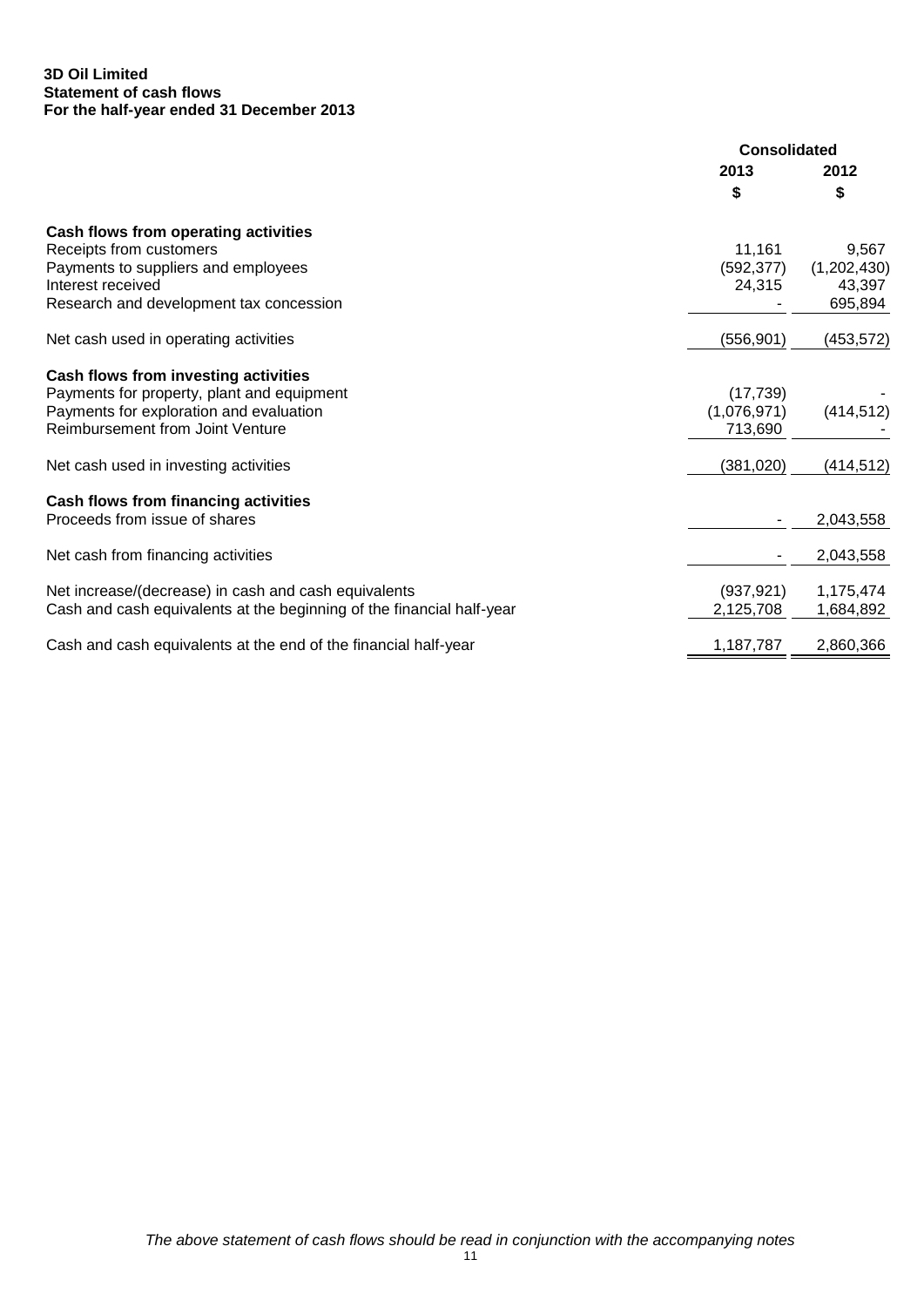## **3D Oil Limited Statement of cash flows For the half-year ended 31 December 2013**

|                                                                       | <b>Consolidated</b> |             |
|-----------------------------------------------------------------------|---------------------|-------------|
|                                                                       | 2013                | 2012        |
|                                                                       | \$                  | \$          |
| Cash flows from operating activities                                  |                     |             |
| Receipts from customers                                               | 11,161              | 9,567       |
| Payments to suppliers and employees                                   | (592, 377)          | (1,202,430) |
| Interest received                                                     | 24,315              | 43,397      |
| Research and development tax concession                               |                     | 695,894     |
| Net cash used in operating activities                                 | (556, 901)          | (453, 572)  |
| Cash flows from investing activities                                  |                     |             |
| Payments for property, plant and equipment                            | (17, 739)           |             |
| Payments for exploration and evaluation                               | (1,076,971)         | (414, 512)  |
| <b>Reimbursement from Joint Venture</b>                               | 713,690             |             |
| Net cash used in investing activities                                 | (381, 020)          | (414, 512)  |
| Cash flows from financing activities                                  |                     |             |
| Proceeds from issue of shares                                         |                     | 2,043,558   |
| Net cash from financing activities                                    |                     | 2,043,558   |
| Net increase/(decrease) in cash and cash equivalents                  | (937, 921)          | 1,175,474   |
| Cash and cash equivalents at the beginning of the financial half-year | 2,125,708           | 1,684,892   |
| Cash and cash equivalents at the end of the financial half-year       | 1,187,787           | 2,860,366   |
|                                                                       |                     |             |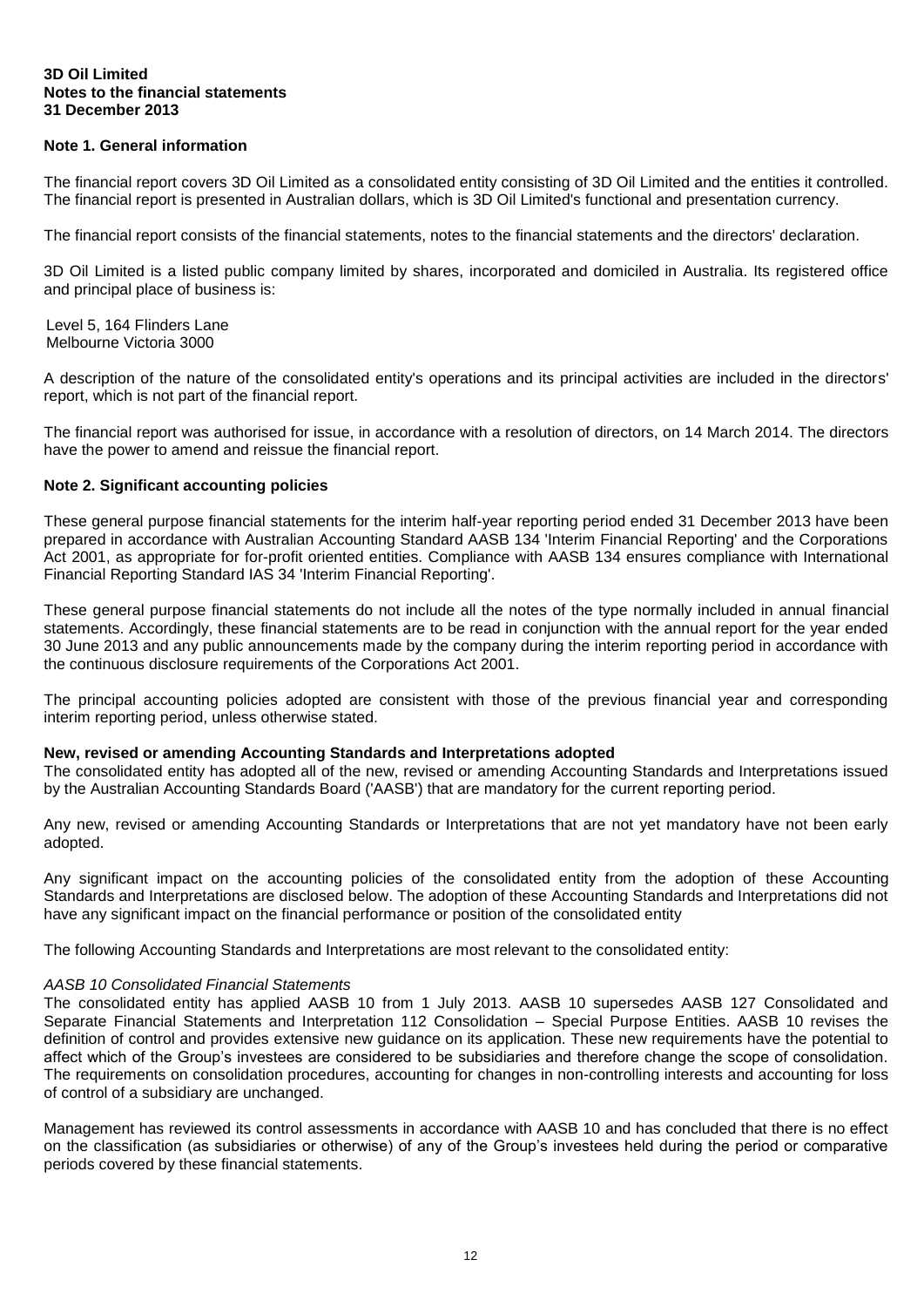#### **3D Oil Limited Notes to the financial statements 31 December 2013**

## **Note 1. General information**

The financial report covers 3D Oil Limited as a consolidated entity consisting of 3D Oil Limited and the entities it controlled. The financial report is presented in Australian dollars, which is 3D Oil Limited's functional and presentation currency.

The financial report consists of the financial statements, notes to the financial statements and the directors' declaration.

3D Oil Limited is a listed public company limited by shares, incorporated and domiciled in Australia. Its registered office and principal place of business is:

Level 5, 164 Flinders Lane Melbourne Victoria 3000

A description of the nature of the consolidated entity's operations and its principal activities are included in the directors' report, which is not part of the financial report.

The financial report was authorised for issue, in accordance with a resolution of directors, on 14 March 2014. The directors have the power to amend and reissue the financial report.

## **Note 2. Significant accounting policies**

These general purpose financial statements for the interim half-year reporting period ended 31 December 2013 have been prepared in accordance with Australian Accounting Standard AASB 134 'Interim Financial Reporting' and the Corporations Act 2001, as appropriate for for-profit oriented entities. Compliance with AASB 134 ensures compliance with International Financial Reporting Standard IAS 34 'Interim Financial Reporting'.

These general purpose financial statements do not include all the notes of the type normally included in annual financial statements. Accordingly, these financial statements are to be read in conjunction with the annual report for the year ended 30 June 2013 and any public announcements made by the company during the interim reporting period in accordance with the continuous disclosure requirements of the Corporations Act 2001.

The principal accounting policies adopted are consistent with those of the previous financial year and corresponding interim reporting period, unless otherwise stated.

#### **New, revised or amending Accounting Standards and Interpretations adopted**

The consolidated entity has adopted all of the new, revised or amending Accounting Standards and Interpretations issued by the Australian Accounting Standards Board ('AASB') that are mandatory for the current reporting period.

Any new, revised or amending Accounting Standards or Interpretations that are not yet mandatory have not been early adopted.

Any significant impact on the accounting policies of the consolidated entity from the adoption of these Accounting Standards and Interpretations are disclosed below. The adoption of these Accounting Standards and Interpretations did not have any significant impact on the financial performance or position of the consolidated entity

The following Accounting Standards and Interpretations are most relevant to the consolidated entity:

#### *AASB 10 Consolidated Financial Statements*

The consolidated entity has applied AASB 10 from 1 July 2013. AASB 10 supersedes AASB 127 Consolidated and Separate Financial Statements and Interpretation 112 Consolidation – Special Purpose Entities. AASB 10 revises the definition of control and provides extensive new guidance on its application. These new requirements have the potential to affect which of the Group's investees are considered to be subsidiaries and therefore change the scope of consolidation. The requirements on consolidation procedures, accounting for changes in non-controlling interests and accounting for loss of control of a subsidiary are unchanged.

Management has reviewed its control assessments in accordance with AASB 10 and has concluded that there is no effect on the classification (as subsidiaries or otherwise) of any of the Group's investees held during the period or comparative periods covered by these financial statements.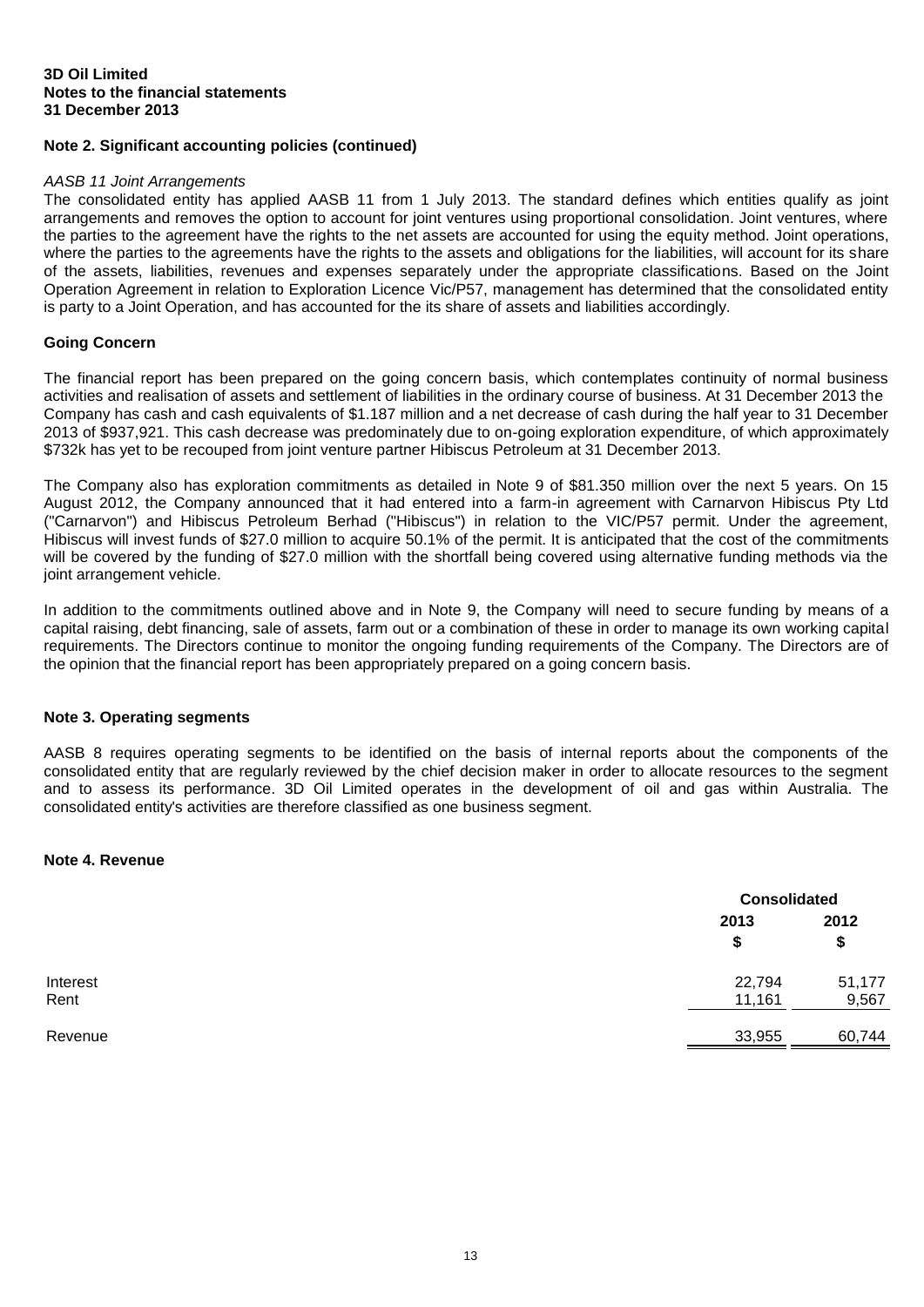# **Note 2. Significant accounting policies (continued)**

#### *AASB 11 Joint Arrangements*

The consolidated entity has applied AASB 11 from 1 July 2013. The standard defines which entities qualify as joint arrangements and removes the option to account for joint ventures using proportional consolidation. Joint ventures, where the parties to the agreement have the rights to the net assets are accounted for using the equity method. Joint operations, where the parties to the agreements have the rights to the assets and obligations for the liabilities, will account for its share of the assets, liabilities, revenues and expenses separately under the appropriate classifications. Based on the Joint Operation Agreement in relation to Exploration Licence Vic/P57, management has determined that the consolidated entity is party to a Joint Operation, and has accounted for the its share of assets and liabilities accordingly.

#### **Going Concern**

The financial report has been prepared on the going concern basis, which contemplates continuity of normal business activities and realisation of assets and settlement of liabilities in the ordinary course of business. At 31 December 2013 the Company has cash and cash equivalents of \$1.187 million and a net decrease of cash during the half year to 31 December 2013 of \$937,921. This cash decrease was predominately due to on-going exploration expenditure, of which approximately \$732k has yet to be recouped from joint venture partner Hibiscus Petroleum at 31 December 2013.

The Company also has exploration commitments as detailed in Note 9 of \$81.350 million over the next 5 years. On 15 August 2012, the Company announced that it had entered into a farm-in agreement with Carnarvon Hibiscus Pty Ltd ("Carnarvon") and Hibiscus Petroleum Berhad ("Hibiscus") in relation to the VIC/P57 permit. Under the agreement, Hibiscus will invest funds of \$27.0 million to acquire 50.1% of the permit. It is anticipated that the cost of the commitments will be covered by the funding of \$27.0 million with the shortfall being covered using alternative funding methods via the joint arrangement vehicle.

In addition to the commitments outlined above and in Note 9, the Company will need to secure funding by means of a capital raising, debt financing, sale of assets, farm out or a combination of these in order to manage its own working capital requirements. The Directors continue to monitor the ongoing funding requirements of the Company. The Directors are of the opinion that the financial report has been appropriately prepared on a going concern basis.

#### **Note 3. Operating segments**

AASB 8 requires operating segments to be identified on the basis of internal reports about the components of the consolidated entity that are regularly reviewed by the chief decision maker in order to allocate resources to the segment and to assess its performance. 3D Oil Limited operates in the development of oil and gas within Australia. The consolidated entity's activities are therefore classified as one business segment.

## **Note 4. Revenue**

|          |        | <b>Consolidated</b> |  |
|----------|--------|---------------------|--|
|          | 2013   | 2012                |  |
|          | \$     | \$                  |  |
| Interest | 22,794 | 51,177              |  |
| Rent     | 11,161 | 9,567               |  |
| Revenue  | 33,955 | 60,744              |  |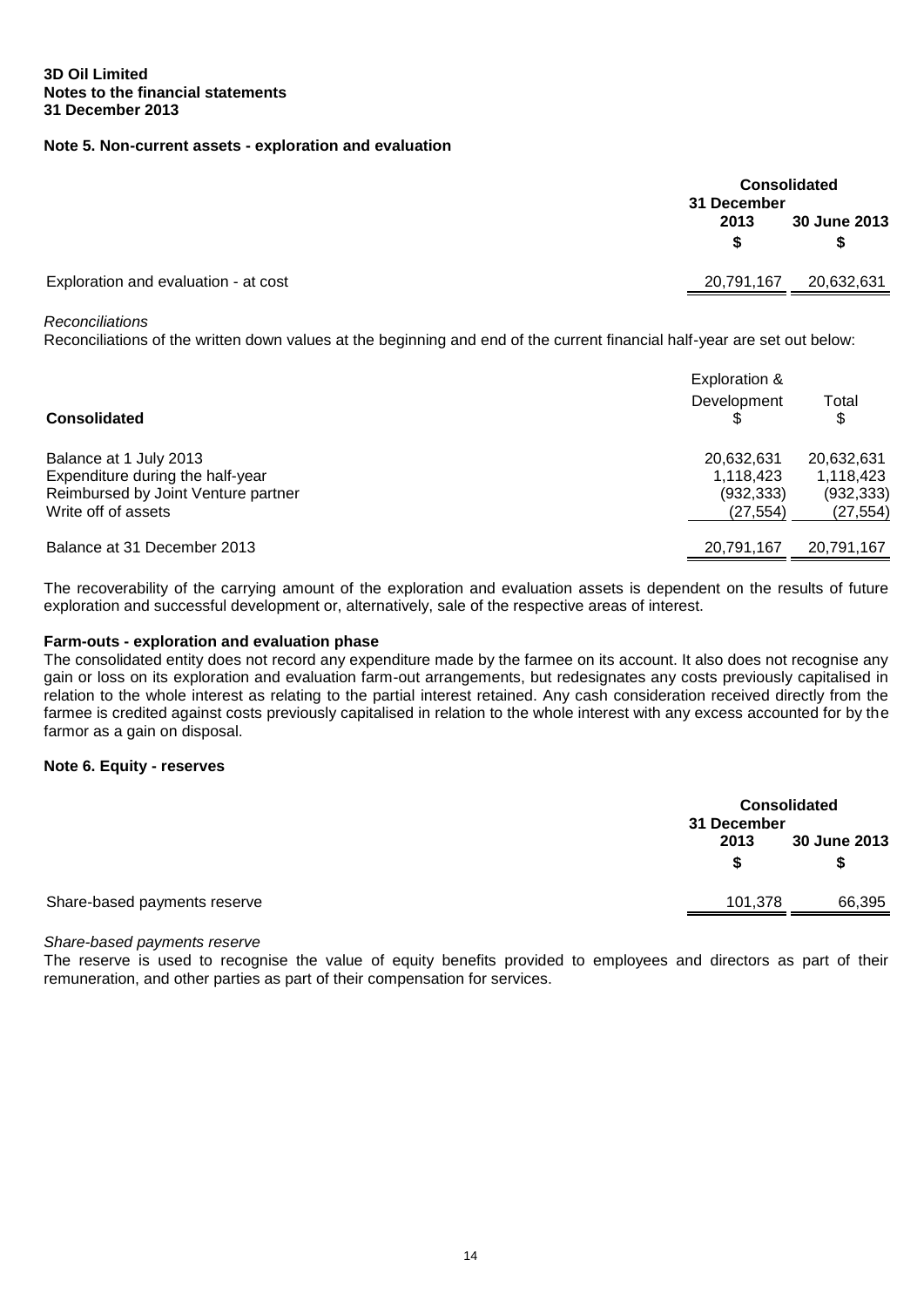## **Note 5. Non-current assets - exploration and evaluation**

|                                      | <b>Consolidated</b><br>31 December |              |  |
|--------------------------------------|------------------------------------|--------------|--|
|                                      | 2013                               | 30 June 2013 |  |
|                                      |                                    | S            |  |
| Exploration and evaluation - at cost | 20,791,167                         | 20,632,631   |  |

#### *Reconciliations*

Reconciliations of the written down values at the beginning and end of the current financial half-year are set out below:

| <b>Consolidated</b>                 | Exploration &<br>Development | Total<br>\$ |
|-------------------------------------|------------------------------|-------------|
| Balance at 1 July 2013              | 20,632,631                   | 20,632,631  |
| Expenditure during the half-year    | 1,118,423                    | 1,118,423   |
| Reimbursed by Joint Venture partner | (932, 333)                   | (932, 333)  |
| Write off of assets                 | (27, 554)                    | (27, 554)   |
| Balance at 31 December 2013         | 20,791,167                   | 20,791,167  |

The recoverability of the carrying amount of the exploration and evaluation assets is dependent on the results of future exploration and successful development or, alternatively, sale of the respective areas of interest.

## **Farm-outs - exploration and evaluation phase**

The consolidated entity does not record any expenditure made by the farmee on its account. It also does not recognise any gain or loss on its exploration and evaluation farm-out arrangements, but redesignates any costs previously capitalised in relation to the whole interest as relating to the partial interest retained. Any cash consideration received directly from the farmee is credited against costs previously capitalised in relation to the whole interest with any excess accounted for by the farmor as a gain on disposal.

#### **Note 6. Equity - reserves**

|                              | 31 December | <b>Consolidated</b> |  |  |
|------------------------------|-------------|---------------------|--|--|
|                              | 2013        | 30 June 2013        |  |  |
|                              |             | S                   |  |  |
| Share-based payments reserve | 101,378     | 66,395              |  |  |

#### *Share-based payments reserve*

The reserve is used to recognise the value of equity benefits provided to employees and directors as part of their remuneration, and other parties as part of their compensation for services.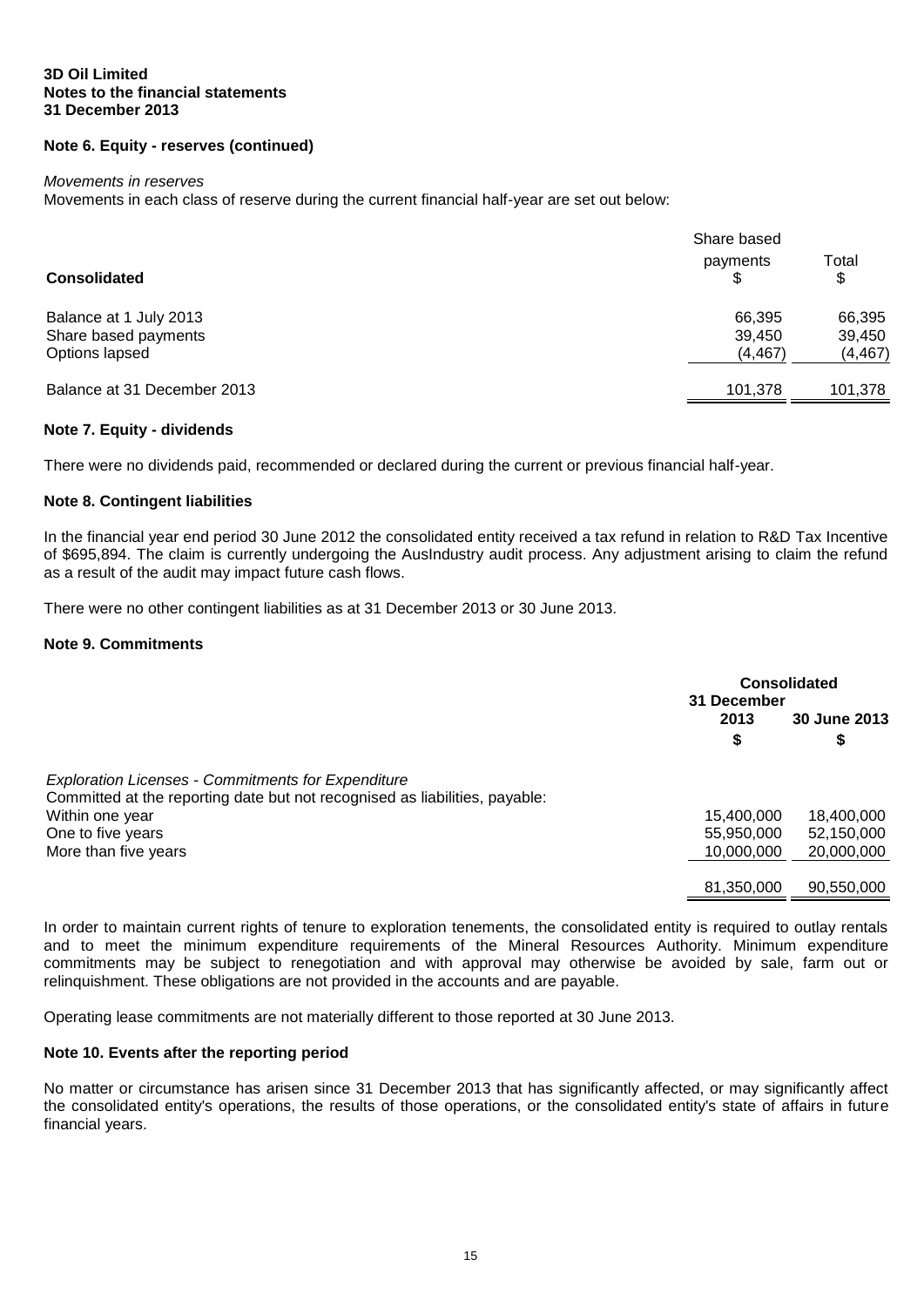## **3D Oil Limited Notes to the financial statements 31 December 2013**

# **Note 6. Equity - reserves (continued)**

#### *Movements in reserves*

Movements in each class of reserve during the current financial half-year are set out below:

|                                                                  | Share based                  |                              |  |
|------------------------------------------------------------------|------------------------------|------------------------------|--|
| <b>Consolidated</b>                                              | payments<br>\$.              | Total<br>\$                  |  |
| Balance at 1 July 2013<br>Share based payments<br>Options lapsed | 66,395<br>39,450<br>(4, 467) | 66,395<br>39,450<br>(4, 467) |  |
| Balance at 31 December 2013                                      | 101.378                      | 101,378                      |  |

#### **Note 7. Equity - dividends**

There were no dividends paid, recommended or declared during the current or previous financial half-year.

#### **Note 8. Contingent liabilities**

In the financial year end period 30 June 2012 the consolidated entity received a tax refund in relation to R&D Tax Incentive of \$695,894. The claim is currently undergoing the AusIndustry audit process. Any adjustment arising to claim the refund as a result of the audit may impact future cash flows.

There were no other contingent liabilities as at 31 December 2013 or 30 June 2013.

#### **Note 9. Commitments**

|                                                                             |            | <b>Consolidated</b><br>31 December |  |
|-----------------------------------------------------------------------------|------------|------------------------------------|--|
|                                                                             | 2013       | 30 June 2013                       |  |
|                                                                             | \$         | \$                                 |  |
| <b>Exploration Licenses - Commitments for Expenditure</b>                   |            |                                    |  |
| Committed at the reporting date but not recognised as liabilities, payable: |            |                                    |  |
| Within one year                                                             | 15,400,000 | 18,400,000                         |  |
| One to five years                                                           | 55,950,000 | 52,150,000                         |  |
| More than five years                                                        | 10,000,000 | 20,000,000                         |  |
|                                                                             |            |                                    |  |
|                                                                             | 81,350,000 | 90,550,000                         |  |

In order to maintain current rights of tenure to exploration tenements, the consolidated entity is required to outlay rentals and to meet the minimum expenditure requirements of the Mineral Resources Authority. Minimum expenditure commitments may be subject to renegotiation and with approval may otherwise be avoided by sale, farm out or relinquishment. These obligations are not provided in the accounts and are payable.

Operating lease commitments are not materially different to those reported at 30 June 2013.

#### **Note 10. Events after the reporting period**

No matter or circumstance has arisen since 31 December 2013 that has significantly affected, or may significantly affect the consolidated entity's operations, the results of those operations, or the consolidated entity's state of affairs in future financial years.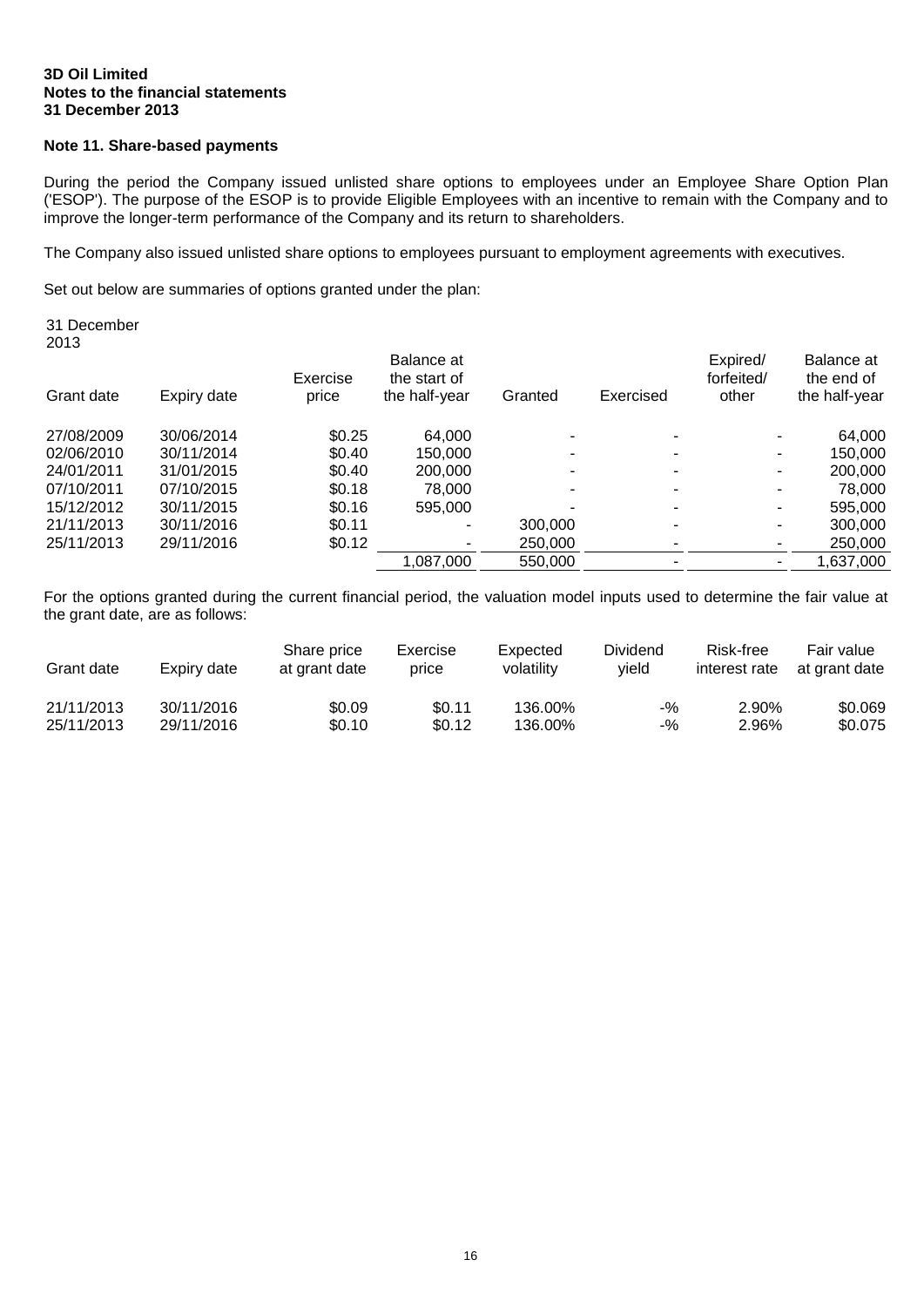#### **3D Oil Limited Notes to the financial statements 31 December 2013**

# **Note 11. Share-based payments**

During the period the Company issued unlisted share options to employees under an Employee Share Option Plan ('ESOP'). The purpose of the ESOP is to provide Eligible Employees with an incentive to remain with the Company and to improve the longer-term performance of the Company and its return to shareholders.

The Company also issued unlisted share options to employees pursuant to employment agreements with executives.

Set out below are summaries of options granted under the plan:

| 31 December<br>2013 |             |                   | Balance at<br>the start of<br>the half-year | Granted | Exercised | Expired/<br>forfeited/<br>other | Balance at<br>the end of<br>the half-year |
|---------------------|-------------|-------------------|---------------------------------------------|---------|-----------|---------------------------------|-------------------------------------------|
| Grant date          | Expiry date | Exercise<br>price |                                             |         |           |                                 |                                           |
| 27/08/2009          | 30/06/2014  | \$0.25            | 64.000                                      |         |           |                                 | 64,000                                    |
| 02/06/2010          | 30/11/2014  | \$0.40            | 150,000                                     |         |           | ۰                               | 150,000                                   |
| 24/01/2011          | 31/01/2015  | \$0.40            | 200,000                                     |         |           | ۰                               | 200,000                                   |
| 07/10/2011          | 07/10/2015  | \$0.18            | 78,000                                      |         |           |                                 | 78,000                                    |
| 15/12/2012          | 30/11/2015  | \$0.16            | 595,000                                     |         |           |                                 | 595,000                                   |
| 21/11/2013          | 30/11/2016  | \$0.11            | ۰                                           | 300,000 |           | ۰                               | 300,000                                   |
| 25/11/2013          | 29/11/2016  | \$0.12            |                                             | 250,000 |           |                                 | 250,000                                   |
|                     |             |                   | 1,087,000                                   | 550,000 |           |                                 | 1,637,000                                 |
|                     |             |                   |                                             |         |           |                                 |                                           |

For the options granted during the current financial period, the valuation model inputs used to determine the fair value at the grant date, are as follows:

| Grant date | Expiry date | Share price<br>at grant date | Exercise<br>price | Expected<br>volatilitv | Dividend<br>vield | Risk-free<br>interest rate | Fair value<br>at grant date |
|------------|-------------|------------------------------|-------------------|------------------------|-------------------|----------------------------|-----------------------------|
| 21/11/2013 | 30/11/2016  | \$0.09                       | \$0.11            | 136.00%                | -%                | 2.90%                      | \$0.069                     |
| 25/11/2013 | 29/11/2016  | \$0.10                       | \$0.12            | 136.00%                | -%                | 2.96%                      | \$0.075                     |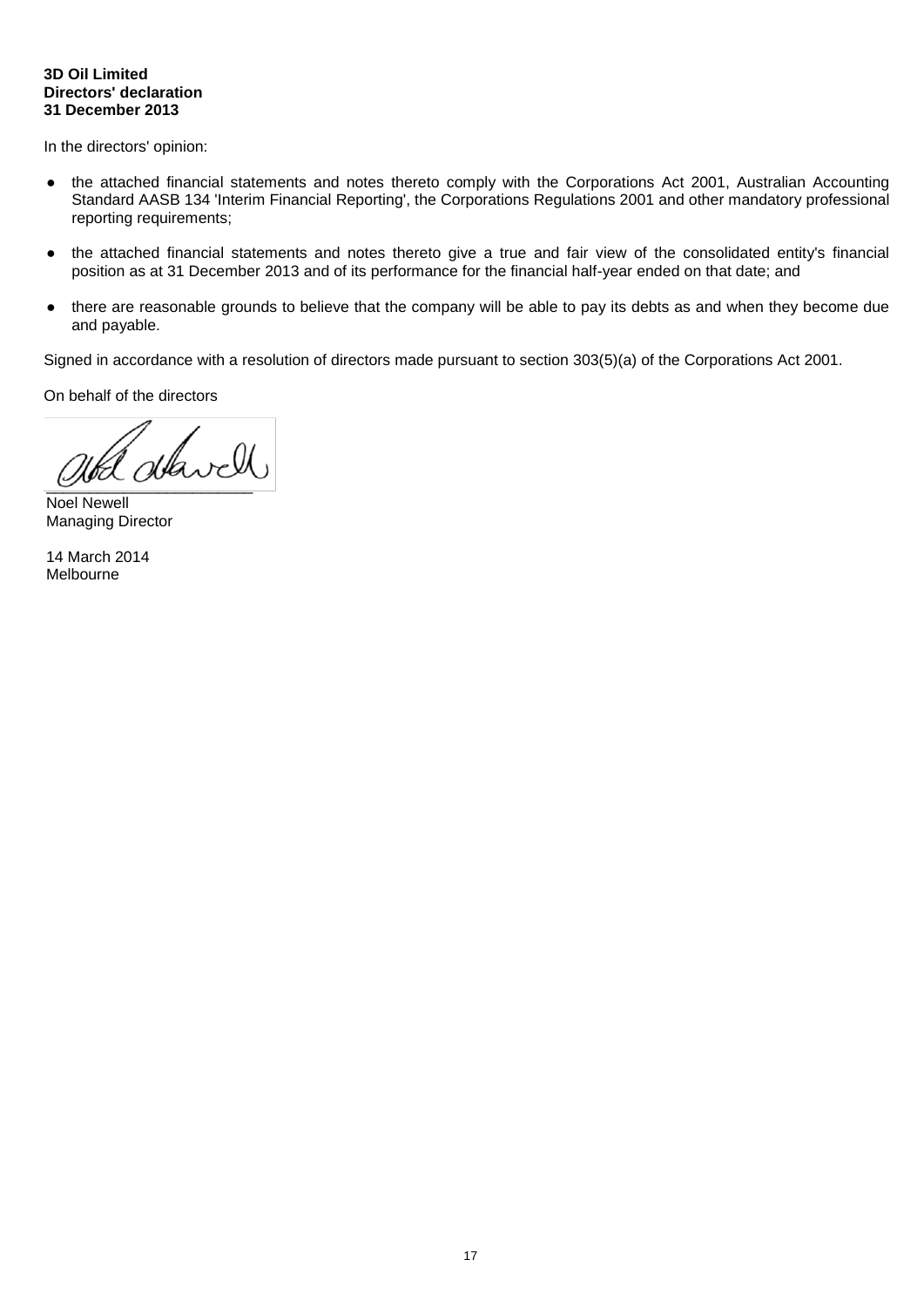## **3D Oil Limited Directors' declaration 31 December 2013**

In the directors' opinion:

- the attached financial statements and notes thereto comply with the Corporations Act 2001, Australian Accounting Standard AASB 134 'Interim Financial Reporting', the Corporations Regulations 2001 and other mandatory professional reporting requirements;
- the attached financial statements and notes thereto give a true and fair view of the consolidated entity's financial position as at 31 December 2013 and of its performance for the financial half-year ended on that date; and
- there are reasonable grounds to believe that the company will be able to pay its debts as and when they become due and payable.

Signed in accordance with a resolution of directors made pursuant to section 303(5)(a) of the Corporations Act 2001.

On behalf of the directors

 $\bigcirc$ 

Noel Newell Managing Director

14 March 2014 Melbourne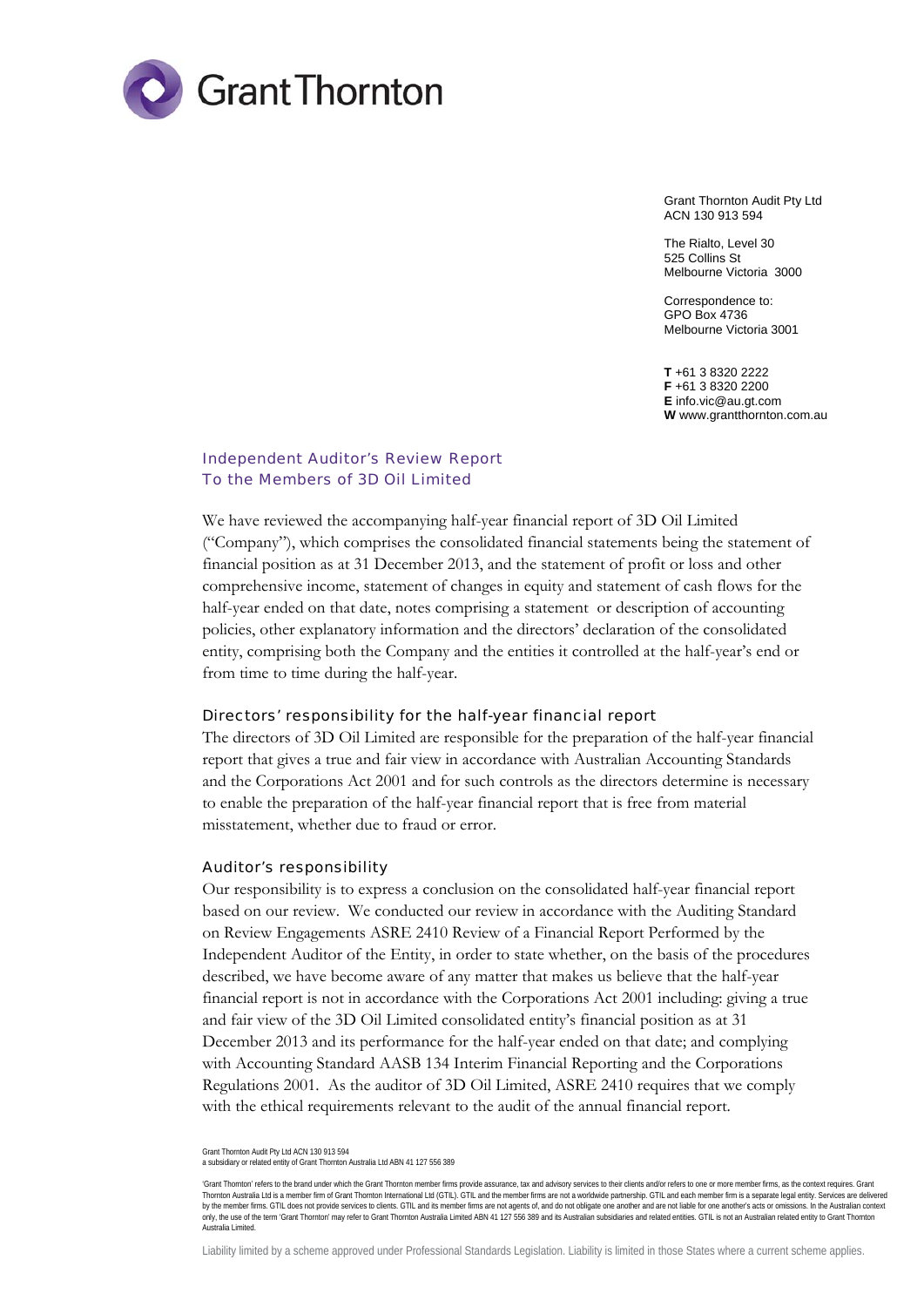

Grant Thornton Audit Pty Ltd ACN 130 913 594

The Rialto, Level 30 525 Collins St Melbourne Victoria 3000

Correspondence to: GPO Box 4736 Melbourne Victoria 3001

**T** +61 3 8320 2222 **F** +61 3 8320 2200 **E** info.vic@au.gt.com **W** www.grantthornton.com.au

# Independent Auditor's Review Report To the Members of 3D Oil Limited

We have reviewed the accompanying half-year financial report of 3D Oil Limited ("Company"), which comprises the consolidated financial statements being the statement of financial position as at 31 December 2013, and the statement of profit or loss and other comprehensive income, statement of changes in equity and statement of cash flows for the half-year ended on that date, notes comprising a statement or description of accounting policies, other explanatory information and the directors' declaration of the consolidated entity, comprising both the Company and the entities it controlled at the half-year's end or from time to time during the half-year.

#### Directors' responsibility for the half-year financial report

The directors of 3D Oil Limited are responsible for the preparation of the half-year financial report that gives a true and fair view in accordance with Australian Accounting Standards and the Corporations Act 2001 and for such controls as the directors determine is necessary to enable the preparation of the half-year financial report that is free from material misstatement, whether due to fraud or error.

#### Auditor's responsibility

Our responsibility is to express a conclusion on the consolidated half-year financial report based on our review. We conducted our review in accordance with the Auditing Standard on Review Engagements ASRE 2410 Review of a Financial Report Performed by the Independent Auditor of the Entity, in order to state whether, on the basis of the procedures described, we have become aware of any matter that makes us believe that the half-year financial report is not in accordance with the Corporations Act 2001 including: giving a true and fair view of the 3D Oil Limited consolidated entity's financial position as at 31 December 2013 and its performance for the half-year ended on that date; and complying with Accounting Standard AASB 134 Interim Financial Reporting and the Corporations Regulations 2001. As the auditor of 3D Oil Limited, ASRE 2410 requires that we comply with the ethical requirements relevant to the audit of the annual financial report.

Grant Thornton Audit Pty Ltd ACN 130 913 594 a subsidiary or related entity of Grant Thornton Australia Ltd ABN 41 127 556 389

<sup>&#</sup>x27;Grant Thornton' refers to the brand under which the Grant Thornton member firms provide assurance, tax and advisory services to their clients and/or refers to one or more member firms, as the context requires. Grant Thornton Australia Ltd is a member firm of Grant Thornton International Ltd (GTIL). GTIL and the member firms are not a worldwide partnership. GTIL and each member firm is a separate legal entity. Services are delivered by the member firms. GTIL does not provide services to clients. GTIL and its member firms are not agents of, and do not obligate one another and are not liable for one another's acts or omissions. In the Australian context Australia Limited.